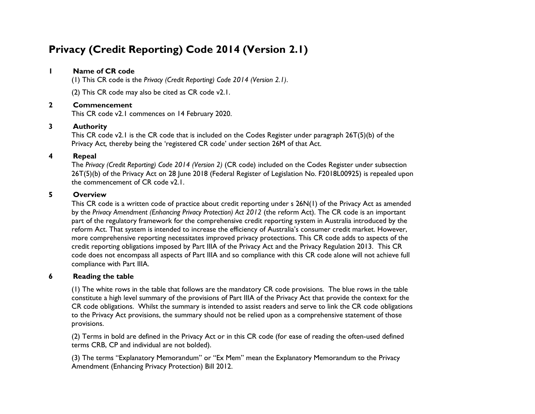### **1 Name of CR code**

(1) This CR code is the *Privacy (Credit Reporting) Code 2014 (Version 2.1)*.

(2) This CR code may also be cited as CR code v2.1.

### **2 Commencement**

This CR code v2.1 commences on 14 February 2020.

### **3 Authority**

This CR code v2.1 is the CR code that is included on the Codes Register under paragraph 26T(5)(b) of the Privacy Act*,* thereby being the 'registered CR code' under section 26M of that Act.

### **4 Repeal**

The *Privacy (Credit Reporting) Code 2014 (Version 2)* (CR code) included on the Codes Register under subsection 26T(5)(b) of the Privacy Act on 28 June 2018 (Federal Register of Legislation No. F2018L00925) is repealed upon the commencement of CR code v2.1.

#### **5 Overview**

This CR code is a written code of practice about credit reporting under s 26N(1) of the Privacy Act as amended by the *Privacy Amendment (Enhancing Privacy Protection) Act 2012* (the reform Act). The CR code is an important part of the regulatory framework for the comprehensive credit reporting system in Australia introduced by the reform Act. That system is intended to increase the efficiency of Australia's consumer credit market. However, more comprehensive reporting necessitates improved privacy protections. This CR code adds to aspects of the credit reporting obligations imposed by Part IIIA of the Privacy Act and the Privacy Regulation 2013. This CR code does not encompass all aspects of Part IIIA and so compliance with this CR code alone will not achieve full compliance with Part IIIA.

#### **6 Reading the table**

(1) The white rows in the table that follows are the mandatory CR code provisions. The blue rows in the table constitute a high level summary of the provisions of Part IIIA of the Privacy Act that provide the context for the CR code obligations. Whilst the summary is intended to assist readers and serve to link the CR code obligations to the Privacy Act provisions, the summary should not be relied upon as a comprehensive statement of those provisions.

(2) Terms in bold are defined in the Privacy Act or in this CR code (for ease of reading the often-used defined terms CRB, CP and individual are not bolded).

(3) The terms "Explanatory Memorandum" or "Ex Mem" mean the Explanatory Memorandum to the Privacy Amendment (Enhancing Privacy Protection) Bill 2012.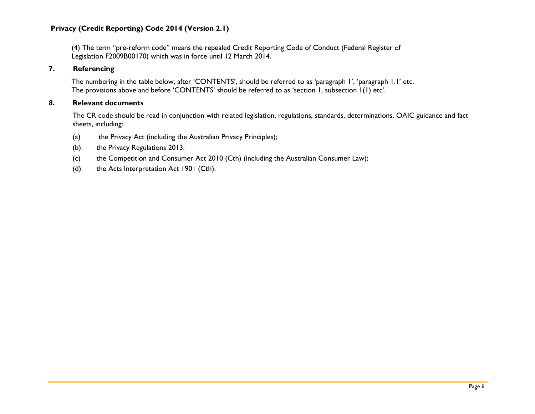(4) The term "pre-reform code" means the repealed Credit Reporting Code of Conduct (Federal Register of Legislation F2009B00170) which was in force until 12 March 2014.

#### **7. Referencing**

The numbering in the table below, after 'CONTENTS', should be referred to as 'paragraph 1', 'paragraph 1.1' etc. The provisions above and before 'CONTENTS' should be referred to as 'section 1, subsection 1(1) etc'.

### **8. Relevant documents**

The CR code should be read in conjunction with related legislation, regulations, standards, determinations, OAIC guidance and fact sheets, including:

- (a) the Privacy Act (including the Australian Privacy Principles);
- (b) the Privacy Regulations 2013;
- (c) the Competition and Consumer Act 2010 (Cth) (including the Australian Consumer Law);
- (d) the Acts Interpretation Act 1901 (Cth).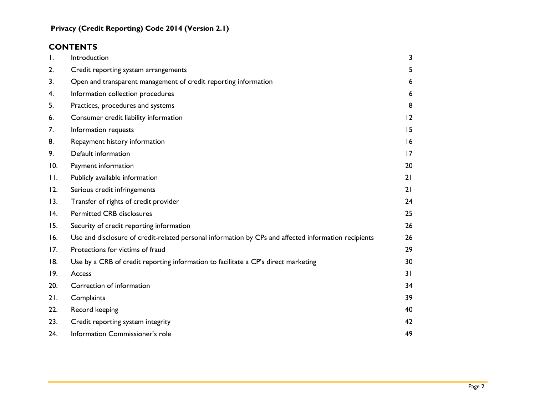# **CONTENTS**

| $\mathsf{I}$ . | Introduction                                                                                         | 3  |
|----------------|------------------------------------------------------------------------------------------------------|----|
| 2.             | Credit reporting system arrangements                                                                 | 5  |
| 3.             | Open and transparent management of credit reporting information                                      | 6  |
| 4.             | Information collection procedures                                                                    | 6  |
| 5.             | Practices, procedures and systems                                                                    | 8  |
| 6.             | Consumer credit liability information                                                                | 12 |
| 7.             | Information requests                                                                                 | 15 |
| 8.             | Repayment history information                                                                        | 16 |
| 9.             | Default information                                                                                  | 17 |
| 10.            | Payment information                                                                                  | 20 |
| П.             | Publicly available information                                                                       | 21 |
| 12.            | Serious credit infringements                                                                         | 21 |
| 13.            | Transfer of rights of credit provider                                                                | 24 |
| 4.             | <b>Permitted CRB disclosures</b>                                                                     | 25 |
| 15.            | Security of credit reporting information                                                             | 26 |
| 16.            | Use and disclosure of credit-related personal information by CPs and affected information recipients | 26 |
| 17.            | Protections for victims of fraud                                                                     | 29 |
| 18.            | Use by a CRB of credit reporting information to facilitate a CP's direct marketing                   | 30 |
| 19.            | Access                                                                                               | 31 |
| 20.            | Correction of information                                                                            | 34 |
| 21.            | Complaints                                                                                           | 39 |
| 22.            | Record keeping                                                                                       | 40 |
| 23.            | Credit reporting system integrity                                                                    | 42 |
| 24.            | Information Commissioner's role                                                                      | 49 |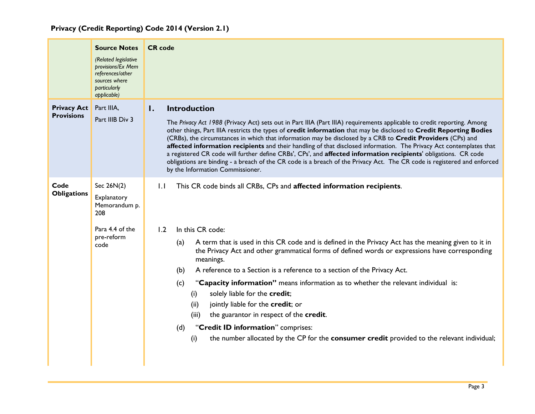<span id="page-3-0"></span>

|                                         | <b>Source Notes</b><br>(Related legislative<br>provisions/Ex Mem<br>references/other<br>sources where<br>particularly<br>applicable) | <b>CR</b> code                                                                                                                                                                                                                                                                                                                                                                                                                                                                                                                                                                                                                                                                                                                                                                                                    |  |  |  |  |
|-----------------------------------------|--------------------------------------------------------------------------------------------------------------------------------------|-------------------------------------------------------------------------------------------------------------------------------------------------------------------------------------------------------------------------------------------------------------------------------------------------------------------------------------------------------------------------------------------------------------------------------------------------------------------------------------------------------------------------------------------------------------------------------------------------------------------------------------------------------------------------------------------------------------------------------------------------------------------------------------------------------------------|--|--|--|--|
| <b>Privacy Act</b><br><b>Provisions</b> | Part IIIA,<br>Part IIIB Div 3                                                                                                        | <b>Introduction</b><br>Ι.<br>The Privacy Act 1988 (Privacy Act) sets out in Part IIIA (Part IIIA) requirements applicable to credit reporting. Among<br>other things, Part IIIA restricts the types of credit information that may be disclosed to Credit Reporting Bodies<br>(CRBs), the circumstances in which that information may be disclosed by a CRB to Credit Providers (CPs) and<br>affected information recipients and their handling of that disclosed information. The Privacy Act contemplates that<br>a registered CR code will further define CRBs', CPs', and affected information recipients' obligations. CR code<br>obligations are binding - a breach of the CR code is a breach of the Privacy Act. The CR code is registered and enforced<br>by the Information Commissioner.               |  |  |  |  |
| Code<br><b>Obligations</b>              | Sec 26N(2)<br>Explanatory<br>Memorandum p.<br>208<br>Para 4.4 of the<br>pre-reform<br>code                                           | 1.1<br>This CR code binds all CRBs, CPs and affected information recipients.<br>In this CR code:<br>1.2<br>A term that is used in this CR code and is defined in the Privacy Act has the meaning given to it in<br>(a)<br>the Privacy Act and other grammatical forms of defined words or expressions have corresponding<br>meanings.<br>A reference to a Section is a reference to a section of the Privacy Act.<br>(b)<br>"Capacity information" means information as to whether the relevant individual is:<br>(c)<br>solely liable for the credit;<br>(i)<br>jointly liable for the credit; or<br>(ii)<br>the guarantor in respect of the credit.<br>(iii)<br>"Credit ID information" comprises:<br>(d)<br>the number allocated by the CP for the consumer credit provided to the relevant individual;<br>(i) |  |  |  |  |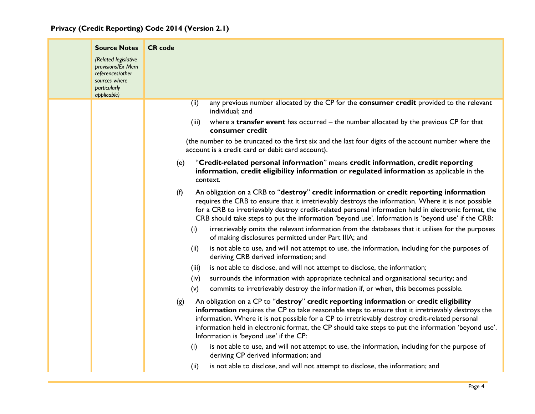| <b>Source Notes</b>                                                                                           | <b>CR</b> code                                                                                                                                                                                                                                                                                                                                                                                                                                         |
|---------------------------------------------------------------------------------------------------------------|--------------------------------------------------------------------------------------------------------------------------------------------------------------------------------------------------------------------------------------------------------------------------------------------------------------------------------------------------------------------------------------------------------------------------------------------------------|
| (Related legislative<br>provisions/Ex Mem<br>references/other<br>sources where<br>particularly<br>applicable) |                                                                                                                                                                                                                                                                                                                                                                                                                                                        |
|                                                                                                               | any previous number allocated by the CP for the consumer credit provided to the relevant<br>(ii)<br>individual; and                                                                                                                                                                                                                                                                                                                                    |
|                                                                                                               | where a transfer event has occurred – the number allocated by the previous CP for that<br>(iii)<br>consumer credit                                                                                                                                                                                                                                                                                                                                     |
|                                                                                                               | (the number to be truncated to the first six and the last four digits of the account number where the<br>account is a credit card or debit card account).                                                                                                                                                                                                                                                                                              |
|                                                                                                               | "Credit-related personal information" means credit information, credit reporting<br>(e)<br>information, credit eligibility information or regulated information as applicable in the<br>context.                                                                                                                                                                                                                                                       |
|                                                                                                               | An obligation on a CRB to "destroy" credit information or credit reporting information<br>(f)<br>requires the CRB to ensure that it irretrievably destroys the information. Where it is not possible<br>for a CRB to irretrievably destroy credit-related personal information held in electronic format, the<br>CRB should take steps to put the information 'beyond use'. Information is 'beyond use' if the CRB:                                    |
|                                                                                                               | irretrievably omits the relevant information from the databases that it utilises for the purposes<br>(i)<br>of making disclosures permitted under Part IIIA; and                                                                                                                                                                                                                                                                                       |
|                                                                                                               | is not able to use, and will not attempt to use, the information, including for the purposes of<br>(ii)<br>deriving CRB derived information; and                                                                                                                                                                                                                                                                                                       |
|                                                                                                               | is not able to disclose, and will not attempt to disclose, the information;<br>(iii)                                                                                                                                                                                                                                                                                                                                                                   |
|                                                                                                               | surrounds the information with appropriate technical and organisational security; and<br>(iv)                                                                                                                                                                                                                                                                                                                                                          |
|                                                                                                               | (v)<br>commits to irretrievably destroy the information if, or when, this becomes possible.                                                                                                                                                                                                                                                                                                                                                            |
|                                                                                                               | An obligation on a CP to "destroy" credit reporting information or credit eligibility<br>(g)<br>information requires the CP to take reasonable steps to ensure that it irretrievably destroys the<br>information. Where it is not possible for a CP to irretrievably destroy credit-related personal<br>information held in electronic format, the CP should take steps to put the information 'beyond use'.<br>Information is 'beyond use' if the CP: |
|                                                                                                               | is not able to use, and will not attempt to use, the information, including for the purpose of<br>(i)<br>deriving CP derived information; and                                                                                                                                                                                                                                                                                                          |
|                                                                                                               | is not able to disclose, and will not attempt to disclose, the information; and<br>(ii)                                                                                                                                                                                                                                                                                                                                                                |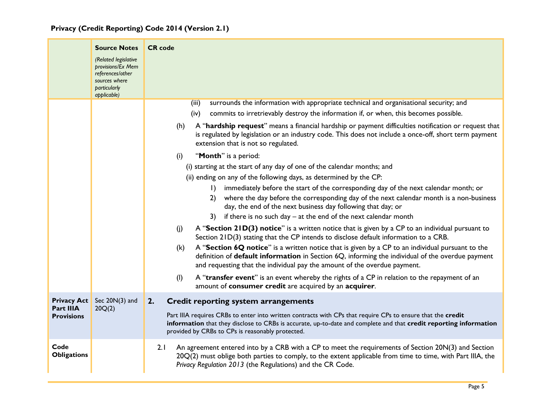|  |  | Privacy (Credit Reporting) Code 2014 (Version 2.1) |  |  |  |  |
|--|--|----------------------------------------------------|--|--|--|--|
|--|--|----------------------------------------------------|--|--|--|--|

<span id="page-5-0"></span>

|                                       | <b>Source Notes</b>                                                                                           | <b>CR</b> code                                                                                                                                                                                                                                                                                                                                   |
|---------------------------------------|---------------------------------------------------------------------------------------------------------------|--------------------------------------------------------------------------------------------------------------------------------------------------------------------------------------------------------------------------------------------------------------------------------------------------------------------------------------------------|
|                                       | (Related legislative<br>provisions/Ex Mem<br>references/other<br>sources where<br>particularly<br>applicable) |                                                                                                                                                                                                                                                                                                                                                  |
|                                       |                                                                                                               | surrounds the information with appropriate technical and organisational security; and<br>(iii)                                                                                                                                                                                                                                                   |
|                                       |                                                                                                               | commits to irretrievably destroy the information if, or when, this becomes possible.<br>(iv)                                                                                                                                                                                                                                                     |
|                                       |                                                                                                               | A "hardship request" means a financial hardship or payment difficulties notification or request that<br>(h)<br>is regulated by legislation or an industry code. This does not include a once-off, short term payment<br>extension that is not so regulated.                                                                                      |
|                                       |                                                                                                               | "Month" is a period:<br>(i)                                                                                                                                                                                                                                                                                                                      |
|                                       |                                                                                                               | (i) starting at the start of any day of one of the calendar months; and                                                                                                                                                                                                                                                                          |
|                                       |                                                                                                               | (ii) ending on any of the following days, as determined by the CP:                                                                                                                                                                                                                                                                               |
|                                       |                                                                                                               | immediately before the start of the corresponding day of the next calendar month; or<br>$\mathbf{D}$<br>where the day before the corresponding day of the next calendar month is a non-business<br>2)<br>day, the end of the next business day following that day; or<br>if there is no such day $-$ at the end of the next calendar month<br>3) |
|                                       |                                                                                                               |                                                                                                                                                                                                                                                                                                                                                  |
|                                       |                                                                                                               | A "Section 21D(3) notice" is a written notice that is given by a CP to an individual pursuant to<br>(i)<br>Section 21D(3) stating that the CP intends to disclose default information to a CRB.                                                                                                                                                  |
|                                       |                                                                                                               | A "Section 6Q notice" is a written notice that is given by a CP to an individual pursuant to the<br>(k)<br>definition of default information in Section 6Q, informing the individual of the overdue payment<br>and requesting that the individual pay the amount of the overdue payment.                                                         |
|                                       |                                                                                                               | A "transfer event" is an event whereby the rights of a CP in relation to the repayment of an<br>(1)<br>amount of consumer credit are acquired by an acquirer.                                                                                                                                                                                    |
| <b>Privacy Act</b>                    | Sec $20N(3)$ and                                                                                              | 2.<br><b>Credit reporting system arrangements</b>                                                                                                                                                                                                                                                                                                |
| <b>Part IIIA</b><br><b>Provisions</b> | 20Q(2)                                                                                                        | Part IIIA requires CRBs to enter into written contracts with CPs that require CPs to ensure that the credit<br>information that they disclose to CRBs is accurate, up-to-date and complete and that credit reporting information<br>provided by CRBs to CPs is reasonably protected.                                                             |
| Code<br><b>Obligations</b>            |                                                                                                               | An agreement entered into by a CRB with a CP to meet the requirements of Section 20N(3) and Section<br>2.1<br>20Q(2) must oblige both parties to comply, to the extent applicable from time to time, with Part IIIA, the<br>Privacy Regulation 2013 (the Regulations) and the CR Code.                                                           |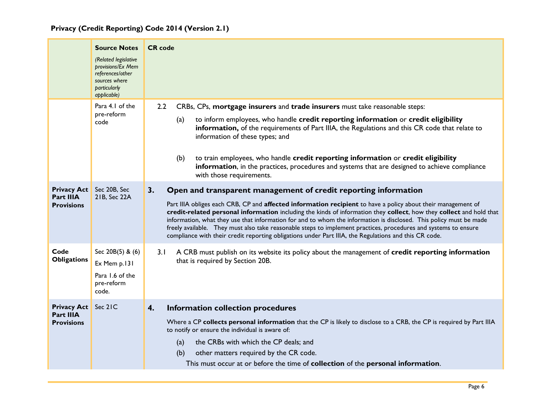<span id="page-6-1"></span><span id="page-6-0"></span>

|                                                      | <b>Source Notes</b><br>(Related legislative<br>provisions/Ex Mem<br>references/other<br>sources where<br>particularly<br>applicable) | <b>CR</b> code                                                                                                                                                                                                                                                                                                                                                                                                                                                                                                                                                                                                                                                 |
|------------------------------------------------------|--------------------------------------------------------------------------------------------------------------------------------------|----------------------------------------------------------------------------------------------------------------------------------------------------------------------------------------------------------------------------------------------------------------------------------------------------------------------------------------------------------------------------------------------------------------------------------------------------------------------------------------------------------------------------------------------------------------------------------------------------------------------------------------------------------------|
|                                                      | Para 4.1 of the<br>pre-reform<br>code                                                                                                | CRBs, CPs, mortgage insurers and trade insurers must take reasonable steps:<br>2.2<br>to inform employees, who handle credit reporting information or credit eligibility<br>(a)<br>information, of the requirements of Part IIIA, the Regulations and this CR code that relate to<br>information of these types; and<br>to train employees, who handle credit reporting information or credit eligibility<br>(b)<br>information, in the practices, procedures and systems that are designed to achieve compliance<br>with those requirements.                                                                                                                  |
| <b>Privacy Act</b><br>Part IIIA<br><b>Provisions</b> | Sec 20B, Sec<br>21B, Sec 22A                                                                                                         | 3.<br>Open and transparent management of credit reporting information<br>Part IIIA obliges each CRB, CP and affected information recipient to have a policy about their management of<br>credit-related personal information including the kinds of information they collect, how they collect and hold that<br>information, what they use that information for and to whom the information is disclosed. This policy must be made<br>freely available. They must also take reasonable steps to implement practices, procedures and systems to ensure<br>compliance with their credit reporting obligations under Part IIIA, the Regulations and this CR code. |
| Code<br><b>Obligations</b>                           | Sec 20B(5) & (6)<br>Ex Mem p.131<br>Para 1.6 of the<br>pre-reform<br>code.                                                           | A CRB must publish on its website its policy about the management of credit reporting information<br>3.1<br>that is required by Section 20B.                                                                                                                                                                                                                                                                                                                                                                                                                                                                                                                   |
| <b>Privacy Act</b><br>Part IIIA<br><b>Provisions</b> | Sec 21C                                                                                                                              | 4.<br>Information collection procedures<br>Where a CP collects personal information that the CP is likely to disclose to a CRB, the CP is required by Part IIIA<br>to notify or ensure the individual is aware of:<br>the CRBs with which the CP deals; and<br>(a)<br>other matters required by the CR code.<br>(b)<br>This must occur at or before the time of <b>collection</b> of the <b>personal information</b> .                                                                                                                                                                                                                                         |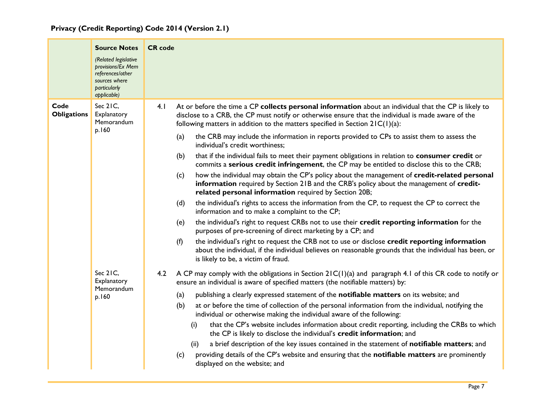|  |  | Privacy (Credit Reporting) Code 2014 (Version 2.1) |  |  |  |  |  |
|--|--|----------------------------------------------------|--|--|--|--|--|
|--|--|----------------------------------------------------|--|--|--|--|--|

|                            | <b>Source Notes</b><br>(Related legislative<br>provisions/Ex Mem<br>references/other<br>sources where<br>particularly<br>applicable) | <b>CR</b> code                                                                                                                                                                                                                                                                                                                                                                                                                                                                                                                                                                                                                                                                                                                                                                                                                                                                                                                                                                                                                                                                                                                                                                                                                                                                                                                                                                                                                                                           |
|----------------------------|--------------------------------------------------------------------------------------------------------------------------------------|--------------------------------------------------------------------------------------------------------------------------------------------------------------------------------------------------------------------------------------------------------------------------------------------------------------------------------------------------------------------------------------------------------------------------------------------------------------------------------------------------------------------------------------------------------------------------------------------------------------------------------------------------------------------------------------------------------------------------------------------------------------------------------------------------------------------------------------------------------------------------------------------------------------------------------------------------------------------------------------------------------------------------------------------------------------------------------------------------------------------------------------------------------------------------------------------------------------------------------------------------------------------------------------------------------------------------------------------------------------------------------------------------------------------------------------------------------------------------|
| Code<br><b>Obligations</b> | Sec 21C,<br>Explanatory<br>Memorandum<br>p.160                                                                                       | At or before the time a CP collects personal information about an individual that the CP is likely to<br>4.1<br>disclose to a CRB, the CP must notify or otherwise ensure that the individual is made aware of the<br>following matters in addition to the matters specified in Section $2IC(1)(a)$ :<br>the CRB may include the information in reports provided to CPs to assist them to assess the<br>(a)<br>individual's credit worthiness;<br>that if the individual fails to meet their payment obligations in relation to consumer credit or<br>(b)<br>commits a serious credit infringement, the CP may be entitled to disclose this to the CRB;<br>how the individual may obtain the CP's policy about the management of credit-related personal<br>(c)<br>information required by Section 21B and the CRB's policy about the management of credit-<br>related personal information required by Section 20B;<br>the individual's rights to access the information from the CP, to request the CP to correct the<br>(d)<br>information and to make a complaint to the CP;<br>the individual's right to request CRBs not to use their credit reporting information for the<br>(e)<br>purposes of pre-screening of direct marketing by a CP; and<br>the individual's right to request the CRB not to use or disclose credit reporting information<br>(f)<br>about the individual, if the individual believes on reasonable grounds that the individual has been, or |
|                            | Sec 21C,<br>Explanatory<br>Memorandum<br>p.160                                                                                       | is likely to be, a victim of fraud.<br>A CP may comply with the obligations in Section $2IC(1)(a)$ and paragraph 4.1 of this CR code to notify or<br>4.2<br>ensure an individual is aware of specified matters (the notifiable matters) by:<br>publishing a clearly expressed statement of the notifiable matters on its website; and<br>(a)<br>at or before the time of collection of the personal information from the individual, notifying the<br>(b)<br>individual or otherwise making the individual aware of the following:<br>that the CP's website includes information about credit reporting, including the CRBs to which<br>(i)<br>the CP is likely to disclose the individual's credit information; and<br>a brief description of the key issues contained in the statement of notifiable matters; and<br>(ii)<br>providing details of the CP's website and ensuring that the notifiable matters are prominently<br>(c)<br>displayed on the website; and                                                                                                                                                                                                                                                                                                                                                                                                                                                                                                    |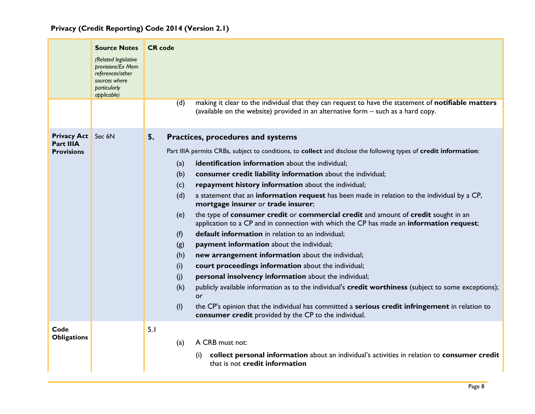<span id="page-8-0"></span>

|                                                                    | <b>Source Notes</b><br>(Related legislative<br>provisions/Ex Mem<br>references/other<br>sources where<br>particularly<br>applicable) | <b>CR</b> code<br>making it clear to the individual that they can request to have the statement of notifiable matters<br>(d)                                                                                                                                                                                                                                                                                                                                                                                                                                                                                                                                                                                                                                                                                                                                                                                                                                                                                                                                                                                                      |
|--------------------------------------------------------------------|--------------------------------------------------------------------------------------------------------------------------------------|-----------------------------------------------------------------------------------------------------------------------------------------------------------------------------------------------------------------------------------------------------------------------------------------------------------------------------------------------------------------------------------------------------------------------------------------------------------------------------------------------------------------------------------------------------------------------------------------------------------------------------------------------------------------------------------------------------------------------------------------------------------------------------------------------------------------------------------------------------------------------------------------------------------------------------------------------------------------------------------------------------------------------------------------------------------------------------------------------------------------------------------|
|                                                                    |                                                                                                                                      | (available on the website) provided in an alternative form – such as a hard copy.                                                                                                                                                                                                                                                                                                                                                                                                                                                                                                                                                                                                                                                                                                                                                                                                                                                                                                                                                                                                                                                 |
| <b>Privacy Act</b> Sec 6N<br><b>Part IIIA</b><br><b>Provisions</b> |                                                                                                                                      | 5.<br>Practices, procedures and systems<br>Part IIIA permits CRBs, subject to conditions, to collect and disclose the following types of credit information:<br>identification information about the individual;<br>(a)<br>consumer credit liability information about the individual;<br>(b)<br>repayment history information about the individual;<br>(c)<br>a statement that an information request has been made in relation to the individual by a CP,<br>(d)<br>mortgage insurer or trade insurer;<br>the type of consumer credit or commercial credit and amount of credit sought in an<br>(e)<br>application to a CP and in connection with which the CP has made an information request;<br>default information in relation to an individual;<br>(f)<br>payment information about the individual;<br>(g)<br>new arrangement information about the individual;<br>(h)<br>court proceedings information about the individual;<br>(i)<br>personal insolvency information about the individual;<br>(i)<br>publicly available information as to the individual's credit worthiness (subject to some exceptions);<br>(k)<br>or |
| Code<br><b>Obligations</b>                                         |                                                                                                                                      | (1)<br>the CP's opinion that the individual has committed a serious credit infringement in relation to<br>consumer credit provided by the CP to the individual.<br>5.1<br>A CRB must not:<br>(a)<br>collect personal information about an individual's activities in relation to consumer credit<br>(i)<br>that is not credit information                                                                                                                                                                                                                                                                                                                                                                                                                                                                                                                                                                                                                                                                                                                                                                                         |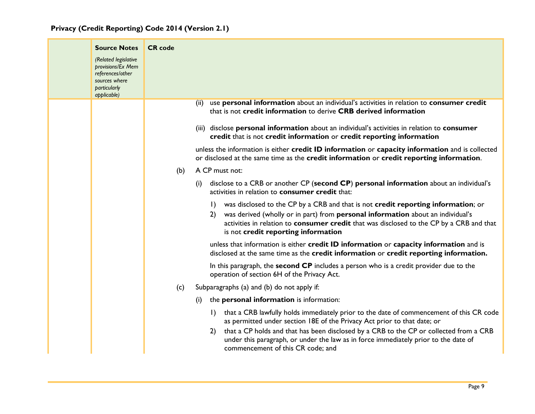| <b>Source Notes</b><br>(Related legislative<br>provisions/Ex Mem<br>references/other<br>sources where<br>particularly<br>applicable) | <b>CR</b> code |                                                                                                                                                                                                                                                                                                                                                                                                              |
|--------------------------------------------------------------------------------------------------------------------------------------|----------------|--------------------------------------------------------------------------------------------------------------------------------------------------------------------------------------------------------------------------------------------------------------------------------------------------------------------------------------------------------------------------------------------------------------|
|                                                                                                                                      |                | use personal information about an individual's activities in relation to consumer credit<br>(ii)<br>that is not credit information to derive CRB derived information                                                                                                                                                                                                                                         |
|                                                                                                                                      |                | (iii) disclose personal information about an individual's activities in relation to consumer<br>credit that is not credit information or credit reporting information                                                                                                                                                                                                                                        |
|                                                                                                                                      |                | unless the information is either credit ID information or capacity information and is collected<br>or disclosed at the same time as the credit information or credit reporting information.                                                                                                                                                                                                                  |
|                                                                                                                                      | (b)            | A CP must not:                                                                                                                                                                                                                                                                                                                                                                                               |
|                                                                                                                                      |                | disclose to a CRB or another CP (second CP) personal information about an individual's<br>(i)<br>activities in relation to consumer credit that:                                                                                                                                                                                                                                                             |
|                                                                                                                                      |                | was disclosed to the CP by a CRB and that is not credit reporting information; or<br>$\vert$<br>was derived (wholly or in part) from personal information about an individual's<br>2)<br>activities in relation to consumer credit that was disclosed to the CP by a CRB and that<br>is not credit reporting information                                                                                     |
|                                                                                                                                      |                | unless that information is either credit ID information or capacity information and is<br>disclosed at the same time as the credit information or credit reporting information.                                                                                                                                                                                                                              |
|                                                                                                                                      |                | In this paragraph, the second CP includes a person who is a credit provider due to the<br>operation of section 6H of the Privacy Act.                                                                                                                                                                                                                                                                        |
|                                                                                                                                      | (c)            | Subparagraphs (a) and (b) do not apply if:                                                                                                                                                                                                                                                                                                                                                                   |
|                                                                                                                                      |                | the personal information is information:<br>(i)                                                                                                                                                                                                                                                                                                                                                              |
|                                                                                                                                      |                | that a CRB lawfully holds immediately prior to the date of commencement of this CR code<br>$\vert$ )<br>as permitted under section 18E of the Privacy Act prior to that date; or<br>that a CP holds and that has been disclosed by a CRB to the CP or collected from a CRB<br>2)<br>under this paragraph, or under the law as in force immediately prior to the date of<br>commencement of this CR code; and |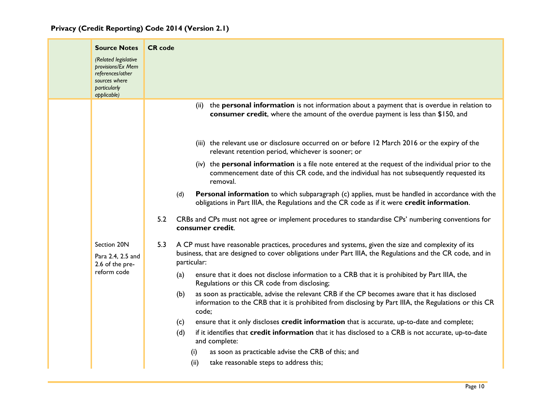|  | <b>Source Notes</b><br>(Related legislative<br>provisions/Ex Mem<br>references/other<br>sources where<br>particularly<br>applicable) | <b>CR</b> code                                                                                                                                                                                                                       |
|--|--------------------------------------------------------------------------------------------------------------------------------------|--------------------------------------------------------------------------------------------------------------------------------------------------------------------------------------------------------------------------------------|
|  |                                                                                                                                      | (ii) the personal information is not information about a payment that is overdue in relation to<br>consumer credit, where the amount of the overdue payment is less than \$150, and                                                  |
|  |                                                                                                                                      | (iii) the relevant use or disclosure occurred on or before 12 March 2016 or the expiry of the<br>relevant retention period, whichever is sooner; or                                                                                  |
|  |                                                                                                                                      | (iv) the personal information is a file note entered at the request of the individual prior to the<br>commencement date of this CR code, and the individual has not subsequently requested its<br>removal.                           |
|  |                                                                                                                                      | Personal information to which subparagraph (c) applies, must be handled in accordance with the<br>(d)<br>obligations in Part IIIA, the Regulations and the CR code as if it were credit information.                                 |
|  |                                                                                                                                      | 5.2<br>CRBs and CPs must not agree or implement procedures to standardise CPs' numbering conventions for<br>consumer credit.                                                                                                         |
|  | Section 20N<br>Para 2.4, 2.5 and<br>2.6 of the pre-<br>reform code                                                                   | 5.3<br>A CP must have reasonable practices, procedures and systems, given the size and complexity of its<br>business, that are designed to cover obligations under Part IIIA, the Regulations and the CR code, and in<br>particular: |
|  |                                                                                                                                      | ensure that it does not disclose information to a CRB that it is prohibited by Part IIIA, the<br>(a)<br>Regulations or this CR code from disclosing;                                                                                 |
|  |                                                                                                                                      | as soon as practicable, advise the relevant CRB if the CP becomes aware that it has disclosed<br>(b)<br>information to the CRB that it is prohibited from disclosing by Part IIIA, the Regulations or this CR<br>code;               |
|  |                                                                                                                                      | ensure that it only discloses credit information that is accurate, up-to-date and complete;<br>(c)                                                                                                                                   |
|  |                                                                                                                                      | (d)<br>if it identifies that credit information that it has disclosed to a CRB is not accurate, up-to-date<br>and complete:                                                                                                          |
|  |                                                                                                                                      | as soon as practicable advise the CRB of this; and<br>(i)                                                                                                                                                                            |
|  |                                                                                                                                      | take reasonable steps to address this;<br>(ii)                                                                                                                                                                                       |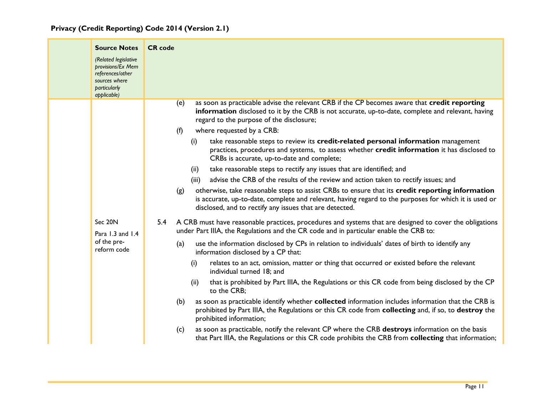| Privacy (Credit Reporting) Code 2014 (Version 2.1) |  |  |  |  |  |
|----------------------------------------------------|--|--|--|--|--|
|----------------------------------------------------|--|--|--|--|--|

| <b>Source Notes</b><br>(Related legislative<br>provisions/Ex Mem<br>references/other<br>sources where<br>particularly<br>applicable) | <b>CR</b> code                                                                                                                                                                                                                                                                                                                                                                                                                                                                                                                                                                                                                                                                                                                                                                                                                                                                                                                                                                                                                                                                                                                                                                                                                                                                                                                                                                                                                                                                                                                                                                                                                                                                                                                                                                                                                                                                                                                                                                                                                                                                      |
|--------------------------------------------------------------------------------------------------------------------------------------|-------------------------------------------------------------------------------------------------------------------------------------------------------------------------------------------------------------------------------------------------------------------------------------------------------------------------------------------------------------------------------------------------------------------------------------------------------------------------------------------------------------------------------------------------------------------------------------------------------------------------------------------------------------------------------------------------------------------------------------------------------------------------------------------------------------------------------------------------------------------------------------------------------------------------------------------------------------------------------------------------------------------------------------------------------------------------------------------------------------------------------------------------------------------------------------------------------------------------------------------------------------------------------------------------------------------------------------------------------------------------------------------------------------------------------------------------------------------------------------------------------------------------------------------------------------------------------------------------------------------------------------------------------------------------------------------------------------------------------------------------------------------------------------------------------------------------------------------------------------------------------------------------------------------------------------------------------------------------------------------------------------------------------------------------------------------------------------|
| Sec 20N<br>Para 1.3 and 1.4<br>of the pre-<br>reform code                                                                            | as soon as practicable advise the relevant CRB if the CP becomes aware that credit reporting<br>(e)<br>information disclosed to it by the CRB is not accurate, up-to-date, complete and relevant, having<br>regard to the purpose of the disclosure;<br>where requested by a CRB:<br>(f)<br>take reasonable steps to review its credit-related personal information management<br>(i)<br>practices, procedures and systems, to assess whether credit information it has disclosed to<br>CRBs is accurate, up-to-date and complete;<br>take reasonable steps to rectify any issues that are identified; and<br>(ii)<br>advise the CRB of the results of the review and action taken to rectify issues; and<br>(iii)<br>otherwise, take reasonable steps to assist CRBs to ensure that its credit reporting information<br>(g)<br>is accurate, up-to-date, complete and relevant, having regard to the purposes for which it is used or<br>disclosed, and to rectify any issues that are detected.<br>5.4 A CRB must have reasonable practices, procedures and systems that are designed to cover the obligations<br>under Part IIIA, the Regulations and the CR code and in particular enable the CRB to:<br>use the information disclosed by CPs in relation to individuals' dates of birth to identify any<br>(a)<br>information disclosed by a CP that:<br>relates to an act, omission, matter or thing that occurred or existed before the relevant<br>(i)<br>individual turned 18; and<br>that is prohibited by Part IIIA, the Regulations or this CR code from being disclosed by the CP<br>(ii)<br>to the CRB;<br>as soon as practicable identify whether collected information includes information that the CRB is<br>(b)<br>prohibited by Part IIIA, the Regulations or this CR code from collecting and, if so, to destroy the<br>prohibited information;<br>as soon as practicable, notify the relevant CP where the CRB destroys information on the basis<br>(c)<br>that Part IIIA, the Regulations or this CR code prohibits the CRB from collecting that information; |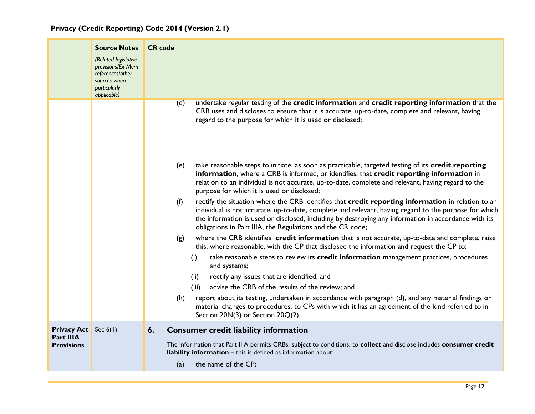<span id="page-12-0"></span>

|                                          | <b>Source Notes</b><br>(Related legislative<br>provisions/Ex Mem<br>references/other<br>sources where<br>particularly<br>applicable) | <b>CR</b> code                                                                                                                                                                                                                                                                                                                                                                           |
|------------------------------------------|--------------------------------------------------------------------------------------------------------------------------------------|------------------------------------------------------------------------------------------------------------------------------------------------------------------------------------------------------------------------------------------------------------------------------------------------------------------------------------------------------------------------------------------|
|                                          |                                                                                                                                      | undertake regular testing of the credit information and credit reporting information that the<br>(d)<br>CRB uses and discloses to ensure that it is accurate, up-to-date, complete and relevant, having<br>regard to the purpose for which it is used or disclosed;                                                                                                                      |
|                                          |                                                                                                                                      | take reasonable steps to initiate, as soon as practicable, targeted testing of its credit reporting<br>(e)<br>information, where a CRB is informed, or identifies, that credit reporting information in<br>relation to an individual is not accurate, up-to-date, complete and relevant, having regard to the<br>purpose for which it is used or disclosed;                              |
|                                          |                                                                                                                                      | rectify the situation where the CRB identifies that credit reporting information in relation to an<br>(f)<br>individual is not accurate, up-to-date, complete and relevant, having regard to the purpose for which<br>the information is used or disclosed, including by destroying any information in accordance with its<br>obligations in Part IIIA, the Regulations and the CR code; |
|                                          |                                                                                                                                      | where the CRB identifies credit information that is not accurate, up-to-date and complete, raise<br>(g)<br>this, where reasonable, with the CP that disclosed the information and request the CP to:                                                                                                                                                                                     |
|                                          |                                                                                                                                      | take reasonable steps to review its credit information management practices, procedures<br>(i)<br>and systems;                                                                                                                                                                                                                                                                           |
|                                          |                                                                                                                                      | rectify any issues that are identified; and<br>(ii)<br>advise the CRB of the results of the review; and<br>(iii)                                                                                                                                                                                                                                                                         |
|                                          |                                                                                                                                      | report about its testing, undertaken in accordance with paragraph (d), and any material findings or<br>(h)<br>material changes to procedures, to CPs with which it has an agreement of the kind referred to in<br>Section 20N(3) or Section 20Q(2).                                                                                                                                      |
| <b>Privacy Act</b> Sec 6(1)<br>Part IIIA |                                                                                                                                      | <b>Consumer credit liability information</b><br>6.                                                                                                                                                                                                                                                                                                                                       |
| <b>Provisions</b>                        |                                                                                                                                      | The information that Part IIIA permits CRBs, subject to conditions, to collect and disclose includes consumer credit<br>liability information - this is defined as information about:                                                                                                                                                                                                    |
|                                          |                                                                                                                                      | (a)<br>the name of the CP;                                                                                                                                                                                                                                                                                                                                                               |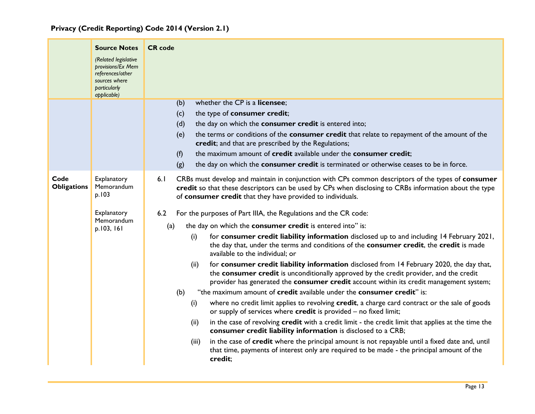|                            | <b>Source Notes</b><br>(Related legislative<br>provisions/Ex Mem<br>references/other<br>sources where<br>particularly<br>applicable) | <b>CR</b> code<br>whether the CP is a licensee;                                                                                                                                                                                                                                                                                                                                                                                                                                                                                                                                                                                                                                                                                                                                                                                                                                                                                                                                                                                                                                                                                                                                                                                                                                                                                         |
|----------------------------|--------------------------------------------------------------------------------------------------------------------------------------|-----------------------------------------------------------------------------------------------------------------------------------------------------------------------------------------------------------------------------------------------------------------------------------------------------------------------------------------------------------------------------------------------------------------------------------------------------------------------------------------------------------------------------------------------------------------------------------------------------------------------------------------------------------------------------------------------------------------------------------------------------------------------------------------------------------------------------------------------------------------------------------------------------------------------------------------------------------------------------------------------------------------------------------------------------------------------------------------------------------------------------------------------------------------------------------------------------------------------------------------------------------------------------------------------------------------------------------------|
|                            |                                                                                                                                      | (b)<br>the type of consumer credit;<br>(c)                                                                                                                                                                                                                                                                                                                                                                                                                                                                                                                                                                                                                                                                                                                                                                                                                                                                                                                                                                                                                                                                                                                                                                                                                                                                                              |
|                            |                                                                                                                                      | the day on which the consumer credit is entered into;<br>(d)<br>the terms or conditions of the consumer credit that relate to repayment of the amount of the<br>(e)<br>credit; and that are prescribed by the Regulations;<br>(f)<br>the maximum amount of credit available under the consumer credit;<br>the day on which the consumer credit is terminated or otherwise ceases to be in force.<br>(g)                                                                                                                                                                                                                                                                                                                                                                                                                                                                                                                                                                                                                                                                                                                                                                                                                                                                                                                                 |
| Code<br><b>Obligations</b> | Explanatory<br>Memorandum<br>p.103                                                                                                   | 6.1<br>CRBs must develop and maintain in conjunction with CPs common descriptors of the types of consumer<br>credit so that these descriptors can be used by CPs when disclosing to CRBs information about the type<br>of consumer credit that they have provided to individuals.                                                                                                                                                                                                                                                                                                                                                                                                                                                                                                                                                                                                                                                                                                                                                                                                                                                                                                                                                                                                                                                       |
|                            | Explanatory<br>Memorandum<br>p.103, 161                                                                                              | For the purposes of Part IIIA, the Regulations and the CR code:<br>6.2<br>the day on which the consumer credit is entered into" is:<br>(a)<br>for consumer credit liability information disclosed up to and including 14 February 2021,<br>(i)<br>the day that, under the terms and conditions of the consumer credit, the credit is made<br>available to the individual; or<br>for consumer credit liability information disclosed from 14 February 2020, the day that,<br>(ii)<br>the consumer credit is unconditionally approved by the credit provider, and the credit<br>provider has generated the consumer credit account within its credit management system;<br>"the maximum amount of credit available under the consumer credit" is:<br>(b)<br>where no credit limit applies to revolving credit, a charge card contract or the sale of goods<br>(i)<br>or supply of services where credit is provided - no fixed limit;<br>in the case of revolving credit with a credit limit - the credit limit that applies at the time the<br>(ii)<br>consumer credit liability information is disclosed to a CRB;<br>in the case of credit where the principal amount is not repayable until a fixed date and, until<br>(iii)<br>that time, payments of interest only are required to be made - the principal amount of the<br>credit; |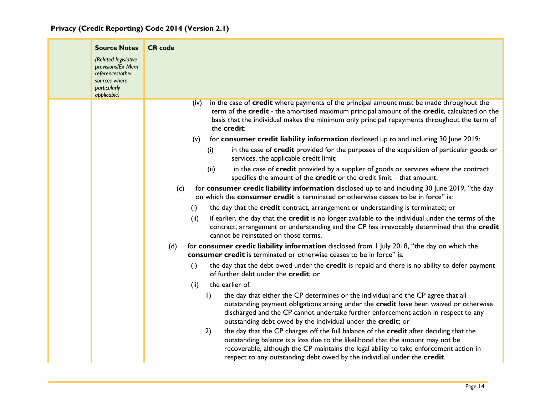| <b>Source Notes</b><br>(Related legislative<br>provisions/Ex Mem<br>references/other<br>sources where<br>particularly<br>applicable) | <b>CR</b> code                                                                                                                                                                                                                                                                                                                                                                                                                                                                                                                                                                                                                                                                                                                                                                                                                                                                                                                                                                                                                                                                                                                                                                                                                                                                                                                                                                                                                                                                                                                                                                                                                                                                                                                                                                                                                                                                                                                                                                                                                                                                                                                                                                                                                                                                                                                                                                |
|--------------------------------------------------------------------------------------------------------------------------------------|-------------------------------------------------------------------------------------------------------------------------------------------------------------------------------------------------------------------------------------------------------------------------------------------------------------------------------------------------------------------------------------------------------------------------------------------------------------------------------------------------------------------------------------------------------------------------------------------------------------------------------------------------------------------------------------------------------------------------------------------------------------------------------------------------------------------------------------------------------------------------------------------------------------------------------------------------------------------------------------------------------------------------------------------------------------------------------------------------------------------------------------------------------------------------------------------------------------------------------------------------------------------------------------------------------------------------------------------------------------------------------------------------------------------------------------------------------------------------------------------------------------------------------------------------------------------------------------------------------------------------------------------------------------------------------------------------------------------------------------------------------------------------------------------------------------------------------------------------------------------------------------------------------------------------------------------------------------------------------------------------------------------------------------------------------------------------------------------------------------------------------------------------------------------------------------------------------------------------------------------------------------------------------------------------------------------------------------------------------------------------------|
|                                                                                                                                      | in the case of credit where payments of the principal amount must be made throughout the<br>(iv)<br>term of the credit - the amortised maximum principal amount of the credit, calculated on the<br>basis that the individual makes the minimum only principal repayments throughout the term of<br>the credit;<br>for consumer credit liability information disclosed up to and including 30 June 2019:<br>(v)<br>in the case of credit provided for the purposes of the acquisition of particular goods or<br>(i)<br>services, the applicable credit limit;<br>in the case of credit provided by a supplier of goods or services where the contract<br>(ii)<br>specifies the amount of the $\mathsf{credit}$ or the credit limit – that amount;<br>for consumer credit liability information disclosed up to and including 30 June 2019, "the day<br>(c)<br>on which the <b>consumer credit</b> is terminated or otherwise ceases to be in force" is:<br>the day that the credit contract, arrangement or understanding is terminated; or<br>(i)<br>if earlier, the day that the credit is no longer available to the individual under the terms of the<br>(ii)<br>contract, arrangement or understanding and the CP has irrevocably determined that the credit<br>cannot be reinstated on those terms.<br>for consumer credit liability information disclosed from 1 July 2018, "the day on which the<br>(d)<br>consumer credit is terminated or otherwise ceases to be in force" is:<br>the day that the debt owed under the credit is repaid and there is no ability to defer payment<br>(i)<br>of further debt under the credit; or<br>the earlier of:<br>(ii)<br>$\vert$<br>the day that either the CP determines or the individual and the CP agree that all<br>outstanding payment obligations arising under the credit have been waived or otherwise<br>discharged and the CP cannot undertake further enforcement action in respect to any<br>outstanding debt owed by the individual under the credit; or<br>the day that the CP charges off the full balance of the credit after deciding that the<br>2)<br>outstanding balance is a loss due to the likelihood that the amount may not be<br>recoverable, although the CP maintains the legal ability to take enforcement action in<br>respect to any outstanding debt owed by the individual under the credit. |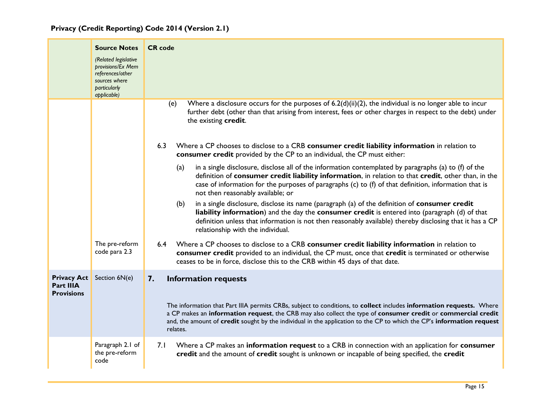|  |  | Privacy (Credit Reporting) Code 2014 (Version 2.1) |  |  |  |  |  |
|--|--|----------------------------------------------------|--|--|--|--|--|
|--|--|----------------------------------------------------|--|--|--|--|--|

<span id="page-15-0"></span>

|                                                             | <b>Source Notes</b><br>(Related legislative<br>provisions/Ex Mem<br>references/other<br>sources where<br><b>particularly</b><br>applicable) | <b>CR</b> code                                                                                                                                                                                                                                                                                                                                                                                                                                                                                                                                                                                                                                                                                                                                                                                                                                                                                                                                                                                                                                                                                                                                                                                                                                                                                                                                                                                                                                                      |
|-------------------------------------------------------------|---------------------------------------------------------------------------------------------------------------------------------------------|---------------------------------------------------------------------------------------------------------------------------------------------------------------------------------------------------------------------------------------------------------------------------------------------------------------------------------------------------------------------------------------------------------------------------------------------------------------------------------------------------------------------------------------------------------------------------------------------------------------------------------------------------------------------------------------------------------------------------------------------------------------------------------------------------------------------------------------------------------------------------------------------------------------------------------------------------------------------------------------------------------------------------------------------------------------------------------------------------------------------------------------------------------------------------------------------------------------------------------------------------------------------------------------------------------------------------------------------------------------------------------------------------------------------------------------------------------------------|
|                                                             | The pre-reform<br>code para 2.3                                                                                                             | Where a disclosure occurs for the purposes of $6.2(d)(ii)(2)$ , the individual is no longer able to incur<br>(e)<br>further debt (other than that arising from interest, fees or other charges in respect to the debt) under<br>the existing credit.<br>6.3<br>Where a CP chooses to disclose to a CRB consumer credit liability information in relation to<br>consumer credit provided by the CP to an individual, the CP must either:<br>(a)<br>in a single disclosure, disclose all of the information contemplated by paragraphs (a) to (f) of the<br>definition of consumer credit liability information, in relation to that credit, other than, in the<br>case of information for the purposes of paragraphs (c) to (f) of that definition, information that is<br>not then reasonably available; or<br>in a single disclosure, disclose its name (paragraph (a) of the definition of consumer credit<br>(b)<br>liability information) and the day the consumer credit is entered into (paragraph (d) of that<br>definition unless that information is not then reasonably available) thereby disclosing that it has a CP<br>relationship with the individual.<br>Where a CP chooses to disclose to a CRB consumer credit liability information in relation to<br>6.4<br>consumer credit provided to an individual, the CP must, once that credit is terminated or otherwise<br>ceases to be in force, disclose this to the CRB within 45 days of that date. |
| <b>Privacy Act</b><br><b>Part IIIA</b><br><b>Provisions</b> | Section 6N(e)                                                                                                                               | <b>Information requests</b><br>7.<br>The information that Part IIIA permits CRBs, subject to conditions, to collect includes information requests. Where<br>a CP makes an information request, the CRB may also collect the type of consumer credit or commercial credit<br>and, the amount of credit sought by the individual in the application to the CP to which the CP's information request<br>relates.                                                                                                                                                                                                                                                                                                                                                                                                                                                                                                                                                                                                                                                                                                                                                                                                                                                                                                                                                                                                                                                       |
|                                                             | Paragraph 2.1 of<br>the pre-reform<br>code                                                                                                  | Where a CP makes an information request to a CRB in connection with an application for consumer<br>7.1<br>credit and the amount of credit sought is unknown or incapable of being specified, the credit                                                                                                                                                                                                                                                                                                                                                                                                                                                                                                                                                                                                                                                                                                                                                                                                                                                                                                                                                                                                                                                                                                                                                                                                                                                             |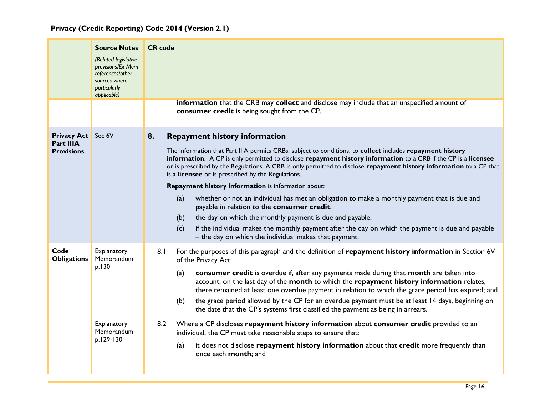<span id="page-16-0"></span>

|                                                      | <b>Source Notes</b><br>(Related legislative<br>provisions/Ex Mem<br>references/other<br>sources where<br>particularly<br>applicable) | <b>CR</b> code<br>information that the CRB may collect and disclose may include that an unspecified amount of<br>consumer credit is being sought from the CP.                                                                                                                                                                                                                                                                                                                                                                                                                                                                                                                                                                                                                                                                                                                                                                         |
|------------------------------------------------------|--------------------------------------------------------------------------------------------------------------------------------------|---------------------------------------------------------------------------------------------------------------------------------------------------------------------------------------------------------------------------------------------------------------------------------------------------------------------------------------------------------------------------------------------------------------------------------------------------------------------------------------------------------------------------------------------------------------------------------------------------------------------------------------------------------------------------------------------------------------------------------------------------------------------------------------------------------------------------------------------------------------------------------------------------------------------------------------|
| <b>Privacy Act</b><br>Part IIIA<br><b>Provisions</b> | Sec 6V                                                                                                                               | <b>Repayment history information</b><br>8.<br>The information that Part IIIA permits CRBs, subject to conditions, to collect includes repayment history<br>information. A CP is only permitted to disclose repayment history information to a CRB if the CP is a licensee<br>or is prescribed by the Regulations. A CRB is only permitted to disclose repayment history information to a CP that<br>is a licensee or is prescribed by the Regulations.<br>Repayment history information is information about:<br>whether or not an individual has met an obligation to make a monthly payment that is due and<br>(a)<br>payable in relation to the consumer credit;<br>the day on which the monthly payment is due and payable;<br>(b)<br>if the individual makes the monthly payment after the day on which the payment is due and payable<br>(c)<br>- the day on which the individual makes that payment.                           |
| Code<br><b>Obligations</b>                           | Explanatory<br>Memorandum<br>p.130<br>Explanatory<br>Memorandum<br>p.129-130                                                         | 8.1<br>For the purposes of this paragraph and the definition of repayment history information in Section 6V<br>of the Privacy Act:<br>consumer credit is overdue if, after any payments made during that month are taken into<br>(a)<br>account, on the last day of the month to which the repayment history information relates,<br>there remained at least one overdue payment in relation to which the grace period has expired; and<br>the grace period allowed by the CP for an overdue payment must be at least 14 days, beginning on<br>(b)<br>the date that the CP's systems first classified the payment as being in arrears.<br>Where a CP discloses repayment history information about consumer credit provided to an<br>8.2<br>individual, the CP must take reasonable steps to ensure that:<br>it does not disclose repayment history information about that credit more frequently than<br>(a)<br>once each month; and |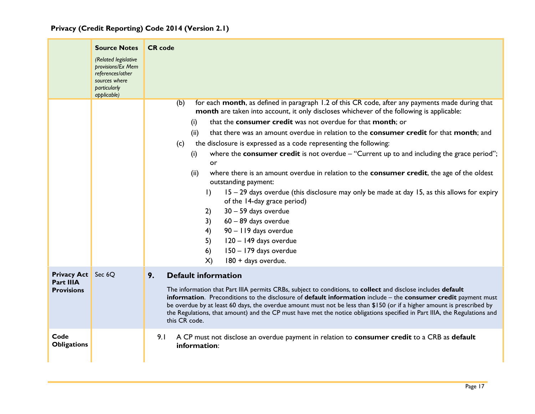<span id="page-17-0"></span>

|                                                             | <b>Source Notes</b><br>(Related legislative<br>provisions/Ex Mem<br>references/other<br>sources where<br>particularly<br>applicable) | <b>CR</b> code                                                                                                                                                                                                                                                                                                                                                                                                                                                                                                                                                                                                                                                                                                                                                                                                                                                                                                                                                                                                                                      |
|-------------------------------------------------------------|--------------------------------------------------------------------------------------------------------------------------------------|-----------------------------------------------------------------------------------------------------------------------------------------------------------------------------------------------------------------------------------------------------------------------------------------------------------------------------------------------------------------------------------------------------------------------------------------------------------------------------------------------------------------------------------------------------------------------------------------------------------------------------------------------------------------------------------------------------------------------------------------------------------------------------------------------------------------------------------------------------------------------------------------------------------------------------------------------------------------------------------------------------------------------------------------------------|
|                                                             |                                                                                                                                      | for each month, as defined in paragraph 1.2 of this CR code, after any payments made during that<br>(b)<br>month are taken into account, it only discloses whichever of the following is applicable:<br>that the consumer credit was not overdue for that month; or<br>(i)<br>that there was an amount overdue in relation to the consumer credit for that month; and<br>(ii)<br>the disclosure is expressed as a code representing the following:<br>(c)<br>where the consumer credit is not overdue $-$ "Current up to and including the grace period";<br>(i)<br>or<br>(ii)<br>where there is an amount overdue in relation to the consumer credit, the age of the oldest<br>outstanding payment:<br>15 - 29 days overdue (this disclosure may only be made at day 15, as this allows for expiry<br>$\vert$<br>of the 14-day grace period)<br>$30 - 59$ days overdue<br>2)<br>3)<br>$60 - 89$ days overdue<br>4)<br>90 - 119 days overdue<br>5)<br>120 - 149 days overdue<br>150 - 179 days overdue<br>6)<br>180 + days overdue.<br>$\mathsf{X}$ |
| <b>Privacy Act</b> Sec 6Q<br>Part IIIA<br><b>Provisions</b> |                                                                                                                                      | <b>Default information</b><br>9.<br>The information that Part IIIA permits CRBs, subject to conditions, to collect and disclose includes default<br>information. Preconditions to the disclosure of default information include - the consumer credit payment must<br>be overdue by at least 60 days, the overdue amount must not be less than \$150 (or if a higher amount is prescribed by<br>the Regulations, that amount) and the CP must have met the notice obligations specified in Part IIIA, the Regulations and<br>this CR code.                                                                                                                                                                                                                                                                                                                                                                                                                                                                                                          |
| Code<br><b>Obligations</b>                                  |                                                                                                                                      | A CP must not disclose an overdue payment in relation to consumer credit to a CRB as default<br>9.1<br>information:                                                                                                                                                                                                                                                                                                                                                                                                                                                                                                                                                                                                                                                                                                                                                                                                                                                                                                                                 |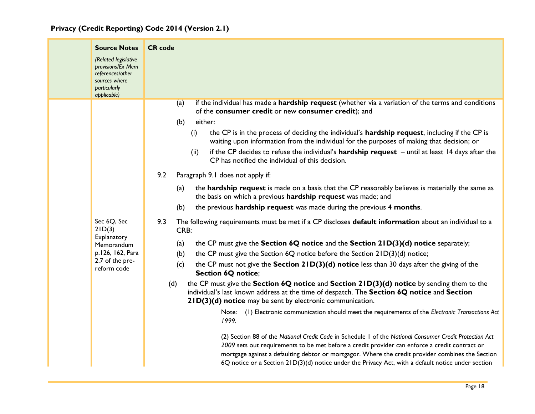| <b>Source Notes</b><br>(Related legislative<br>provisions/Ex Mem<br>references/other<br>sources where<br>particularly<br>applicable) | <b>CR</b> code<br>if the individual has made a hardship request (whether via a variation of the terms and conditions                                                                                                                                                                                                                                                                                                                                                                                                                                                                                                                                                                                                                                                                                                                                                                                                                                                                                                                                                                                                                                                                                                                                                                                                                                                                                                                                                                                                                                                                                                                                                                                                                                                                                                                                                                                                                                                                                                         |
|--------------------------------------------------------------------------------------------------------------------------------------|------------------------------------------------------------------------------------------------------------------------------------------------------------------------------------------------------------------------------------------------------------------------------------------------------------------------------------------------------------------------------------------------------------------------------------------------------------------------------------------------------------------------------------------------------------------------------------------------------------------------------------------------------------------------------------------------------------------------------------------------------------------------------------------------------------------------------------------------------------------------------------------------------------------------------------------------------------------------------------------------------------------------------------------------------------------------------------------------------------------------------------------------------------------------------------------------------------------------------------------------------------------------------------------------------------------------------------------------------------------------------------------------------------------------------------------------------------------------------------------------------------------------------------------------------------------------------------------------------------------------------------------------------------------------------------------------------------------------------------------------------------------------------------------------------------------------------------------------------------------------------------------------------------------------------------------------------------------------------------------------------------------------------|
| Sec 6Q, Sec<br>2ID(3)<br>Explanatory<br>Memorandum<br>p.126, 162, Para<br>2.7 of the pre-<br>reform code                             | (a)<br>of the consumer credit or new consumer credit); and<br>either:<br>(b)<br>the CP is in the process of deciding the individual's hardship request, including if the CP is<br>(i)<br>waiting upon information from the individual for the purposes of making that decision; or<br>if the CP decides to refuse the individual's <b>hardship request</b> $-$ until at least 14 days after the<br>(ii)<br>CP has notified the individual of this decision.<br>9.2<br>Paragraph 9.1 does not apply if:<br>the hardship request is made on a basis that the CP reasonably believes is materially the same as<br>(a)<br>the basis on which a previous hardship request was made; and<br>the previous hardship request was made during the previous 4 months.<br>(b)<br>9.3<br>The following requirements must be met if a CP discloses default information about an individual to a<br>CRB:<br>the CP must give the Section 6Q notice and the Section 21D(3)(d) notice separately;<br>(a)<br>the CP must give the Section 6Q notice before the Section 21D(3)(d) notice;<br>(b)<br>the CP must not give the Section 21D(3)(d) notice less than 30 days after the giving of the<br>(c)<br><b>Section 6Q notice;</b><br>the CP must give the Section 6Q notice and Section 21D(3)(d) notice by sending them to the<br>(d)<br>individual's last known address at the time of despatch. The Section 6Q notice and Section<br>21D(3)(d) notice may be sent by electronic communication.<br>(1) Electronic communication should meet the requirements of the Electronic Transactions Act<br>Note:<br>1999.<br>(2) Section 88 of the National Credit Code in Schedule 1 of the National Consumer Credit Protection Act<br>2009 sets out requirements to be met before a credit provider can enforce a credit contract or<br>mortgage against a defaulting debtor or mortgagor. Where the credit provider combines the Section<br>6Q notice or a Section $21D(3)(d)$ notice under the Privacy Act, with a default notice under section |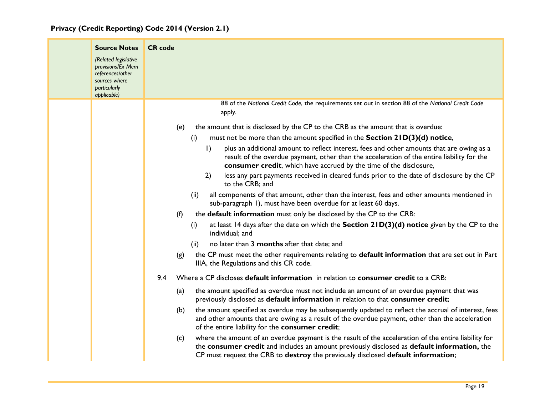| <b>Source Notes</b>                                                                                           | <b>CR</b> code                                                                                                                                                                                                                                                                                                                                                                                                                                                                                                                                                                                                                                                                                                                                                                                                                                                                                                                                                                                                                                                                                                                                                                             |
|---------------------------------------------------------------------------------------------------------------|--------------------------------------------------------------------------------------------------------------------------------------------------------------------------------------------------------------------------------------------------------------------------------------------------------------------------------------------------------------------------------------------------------------------------------------------------------------------------------------------------------------------------------------------------------------------------------------------------------------------------------------------------------------------------------------------------------------------------------------------------------------------------------------------------------------------------------------------------------------------------------------------------------------------------------------------------------------------------------------------------------------------------------------------------------------------------------------------------------------------------------------------------------------------------------------------|
| (Related legislative<br>provisions/Ex Mem<br>references/other<br>sources where<br>particularly<br>applicable) |                                                                                                                                                                                                                                                                                                                                                                                                                                                                                                                                                                                                                                                                                                                                                                                                                                                                                                                                                                                                                                                                                                                                                                                            |
|                                                                                                               | 88 of the National Credit Code, the requirements set out in section 88 of the National Credit Code<br>apply.                                                                                                                                                                                                                                                                                                                                                                                                                                                                                                                                                                                                                                                                                                                                                                                                                                                                                                                                                                                                                                                                               |
|                                                                                                               | the amount that is disclosed by the CP to the CRB as the amount that is overdue:<br>(e)<br>must not be more than the amount specified in the Section 21D(3)(d) notice,<br>(i)<br>$\vert$ )<br>plus an additional amount to reflect interest, fees and other amounts that are owing as a<br>result of the overdue payment, other than the acceleration of the entire liability for the<br>consumer credit, which have accrued by the time of the disclosure,<br>2)<br>less any part payments received in cleared funds prior to the date of disclosure by the CP<br>to the CRB; and<br>all components of that amount, other than the interest, fees and other amounts mentioned in<br>(ii)<br>sub-paragraph 1), must have been overdue for at least 60 days.<br>the <b>default information</b> must only be disclosed by the CP to the CRB:<br>(f)<br>at least 14 days after the date on which the Section $21D(3)(d)$ notice given by the CP to the<br>(i)<br>individual; and<br>no later than 3 months after that date; and<br>(ii)<br>the CP must meet the other requirements relating to default information that are set out in Part<br>(g)<br>IIIA, the Regulations and this CR code. |
|                                                                                                               | Where a CP discloses default information in relation to consumer credit to a CRB:<br>9.4<br>the amount specified as overdue must not include an amount of an overdue payment that was<br>(a)<br>previously disclosed as default information in relation to that consumer credit;<br>the amount specified as overdue may be subsequently updated to reflect the accrual of interest, fees<br>(b)<br>and other amounts that are owing as a result of the overdue payment, other than the acceleration<br>of the entire liability for the consumer credit;<br>where the amount of an overdue payment is the result of the acceleration of the entire liability for<br>(c)<br>the consumer credit and includes an amount previously disclosed as default information, the<br>CP must request the CRB to destroy the previously disclosed default information;                                                                                                                                                                                                                                                                                                                                  |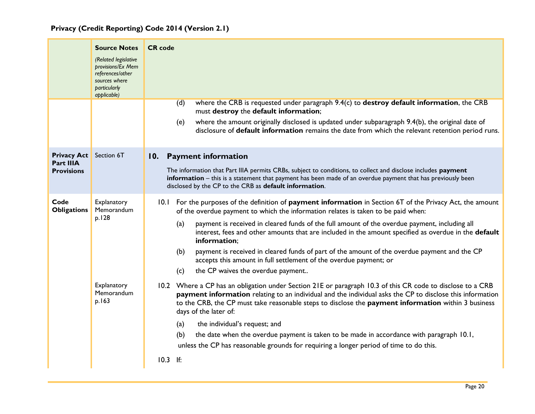<span id="page-20-0"></span>

|                                                      | <b>Source Notes</b><br>(Related legislative<br>provisions/Ex Mem<br>references/other<br>sources where<br>particularly<br>applicable) | <b>CR</b> code<br>where the CRB is requested under paragraph 9.4(c) to destroy default information, the CRB<br>(d)<br>must destroy the default information;<br>where the amount originally disclosed is updated under subparagraph 9.4(b), the original date of<br>(e)<br>disclosure of default information remains the date from which the relevant retention period runs.                                                                                                                                                                                                                                                                                     |
|------------------------------------------------------|--------------------------------------------------------------------------------------------------------------------------------------|-----------------------------------------------------------------------------------------------------------------------------------------------------------------------------------------------------------------------------------------------------------------------------------------------------------------------------------------------------------------------------------------------------------------------------------------------------------------------------------------------------------------------------------------------------------------------------------------------------------------------------------------------------------------|
| <b>Privacy Act</b><br>Part IIIA<br><b>Provisions</b> | Section 6T                                                                                                                           | 10. Payment information<br>The information that Part IIIA permits CRBs, subject to conditions, to collect and disclose includes payment<br>information - this is a statement that payment has been made of an overdue payment that has previously been<br>disclosed by the CP to the CRB as default information.                                                                                                                                                                                                                                                                                                                                                |
| Code<br><b>Obligations</b>                           | Explanatory<br>Memorandum<br>p.128                                                                                                   | 10.1 For the purposes of the definition of <b>payment information</b> in Section 6T of the Privacy Act, the amount<br>of the overdue payment to which the information relates is taken to be paid when:<br>payment is received in cleared funds of the full amount of the overdue payment, including all<br>(a)<br>interest, fees and other amounts that are included in the amount specified as overdue in the default<br>information;<br>payment is received in cleared funds of part of the amount of the overdue payment and the CP<br>(b)<br>accepts this amount in full settlement of the overdue payment; or<br>the CP waives the overdue payment<br>(c) |
|                                                      | Explanatory<br>Memorandum<br>p.163                                                                                                   | 10.2 Where a CP has an obligation under Section 21E or paragraph 10.3 of this CR code to disclose to a CRB<br>payment information relating to an individual and the individual asks the CP to disclose this information<br>to the CRB, the CP must take reasonable steps to disclose the payment information within 3 business<br>days of the later of:<br>(a)<br>the individual's request; and<br>the date when the overdue payment is taken to be made in accordance with paragraph 10.1,<br>(b)<br>unless the CP has reasonable grounds for requiring a longer period of time to do this.<br>$10.3$ If:                                                      |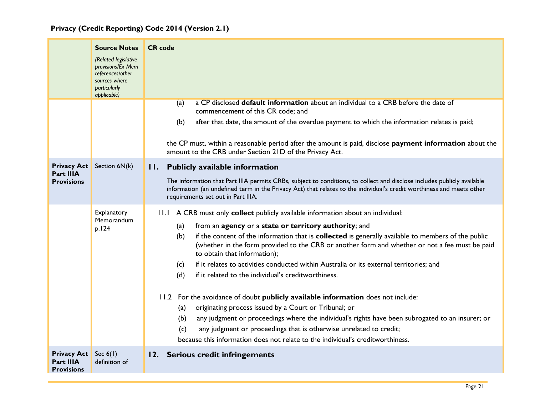<span id="page-21-1"></span><span id="page-21-0"></span>

|                                                             | <b>Source Notes</b><br>(Related legislative<br>provisions/Ex Mem<br>references/other<br>sources where<br>particularly<br>applicable) | <b>CR</b> code<br>a CP disclosed <b>default information</b> about an individual to a CRB before the date of<br>(a)                                                                                                                                                                                                                                                                                                                                                                                                                                                                                                                                                                                                                                                                                                                                                                                                                                                                             |
|-------------------------------------------------------------|--------------------------------------------------------------------------------------------------------------------------------------|------------------------------------------------------------------------------------------------------------------------------------------------------------------------------------------------------------------------------------------------------------------------------------------------------------------------------------------------------------------------------------------------------------------------------------------------------------------------------------------------------------------------------------------------------------------------------------------------------------------------------------------------------------------------------------------------------------------------------------------------------------------------------------------------------------------------------------------------------------------------------------------------------------------------------------------------------------------------------------------------|
|                                                             |                                                                                                                                      | commencement of this CR code; and<br>after that date, the amount of the overdue payment to which the information relates is paid;<br>(b)<br>the CP must, within a reasonable period after the amount is paid, disclose payment information about the<br>amount to the CRB under Section 21D of the Privacy Act.                                                                                                                                                                                                                                                                                                                                                                                                                                                                                                                                                                                                                                                                                |
| <b>Privacy Act</b><br><b>Part IIIA</b><br><b>Provisions</b> | Section 6N(k)                                                                                                                        | II. Publicly available information<br>The information that Part IIIA permits CRBs, subject to conditions, to collect and disclose includes publicly available<br>information (an undefined term in the Privacy Act) that relates to the individual's credit worthiness and meets other<br>requirements set out in Part IIIA.                                                                                                                                                                                                                                                                                                                                                                                                                                                                                                                                                                                                                                                                   |
|                                                             | Explanatory<br>Memorandum<br>p.124                                                                                                   | 11.1 A CRB must only collect publicly available information about an individual:<br>from an agency or a state or territory authority; and<br>(a)<br>if the content of the information that is collected is generally available to members of the public<br>(b)<br>(whether in the form provided to the CRB or another form and whether or not a fee must be paid<br>to obtain that information);<br>if it relates to activities conducted within Australia or its external territories; and<br>(c)<br>if it related to the individual's creditworthiness.<br>(d)<br>11.2 For the avoidance of doubt publicly available information does not include:<br>originating process issued by a Court or Tribunal; or<br>(a)<br>any judgment or proceedings where the individual's rights have been subrogated to an insurer; or<br>(b)<br>any judgment or proceedings that is otherwise unrelated to credit;<br>(c)<br>because this information does not relate to the individual's creditworthiness. |
| <b>Privacy Act</b><br>Part IIIA<br><b>Provisions</b>        | Sec $6(1)$<br>definition of                                                                                                          | 12. Serious credit infringements                                                                                                                                                                                                                                                                                                                                                                                                                                                                                                                                                                                                                                                                                                                                                                                                                                                                                                                                                               |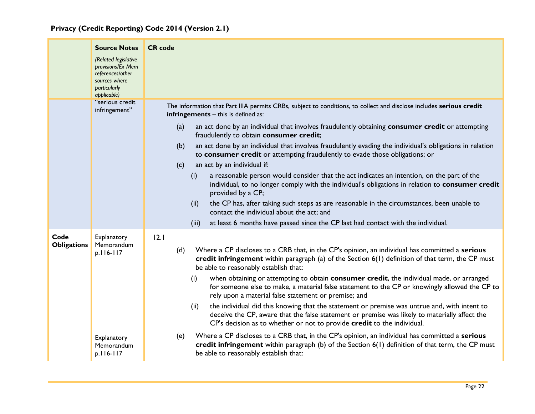|                            | <b>Source Notes</b>                                                                                           | <b>CR</b> code                                                                                                                                                                                                                                                                   |
|----------------------------|---------------------------------------------------------------------------------------------------------------|----------------------------------------------------------------------------------------------------------------------------------------------------------------------------------------------------------------------------------------------------------------------------------|
|                            | (Related legislative<br>provisions/Ex Mem<br>references/other<br>sources where<br>particularly<br>applicable) |                                                                                                                                                                                                                                                                                  |
|                            | "serious credit<br>infringement"                                                                              | The information that Part IIIA permits CRBs, subject to conditions, to collect and disclose includes serious credit<br>infringements - this is defined as:                                                                                                                       |
|                            |                                                                                                               | (a)<br>an act done by an individual that involves fraudulently obtaining consumer credit or attempting<br>fraudulently to obtain consumer credit;                                                                                                                                |
|                            |                                                                                                               | an act done by an individual that involves fraudulently evading the individual's obligations in relation<br>(b)<br>to consumer credit or attempting fraudulently to evade those obligations; or<br>an act by an individual if:<br>(c)                                            |
|                            |                                                                                                               | a reasonable person would consider that the act indicates an intention, on the part of the<br>(i)<br>individual, to no longer comply with the individual's obligations in relation to consumer credit<br>provided by a CP;                                                       |
|                            |                                                                                                               | the CP has, after taking such steps as are reasonable in the circumstances, been unable to<br>(ii)<br>contact the individual about the act: and                                                                                                                                  |
|                            |                                                                                                               | at least 6 months have passed since the CP last had contact with the individual.<br>(iii)                                                                                                                                                                                        |
| Code<br><b>Obligations</b> | Explanatory<br>Memorandum<br>p.116-117                                                                        | 12.1<br>Where a CP discloses to a CRB that, in the CP's opinion, an individual has committed a serious<br>(d)<br>credit infringement within paragraph (a) of the Section 6(1) definition of that term, the CP must<br>be able to reasonably establish that:                      |
|                            |                                                                                                               | when obtaining or attempting to obtain consumer credit, the individual made, or arranged<br>(i)<br>for someone else to make, a material false statement to the CP or knowingly allowed the CP to<br>rely upon a material false statement or premise; and                         |
|                            |                                                                                                               | the individual did this knowing that the statement or premise was untrue and, with intent to<br>(ii)<br>deceive the CP, aware that the false statement or premise was likely to materially affect the<br>CP's decision as to whether or not to provide credit to the individual. |
|                            | Explanatory<br>Memorandum<br>p.116-117                                                                        | Where a CP discloses to a CRB that, in the CP's opinion, an individual has committed a serious<br>(e)<br>credit infringement within paragraph $(b)$ of the Section $6(1)$ definition of that term, the CP must<br>be able to reasonably establish that:                          |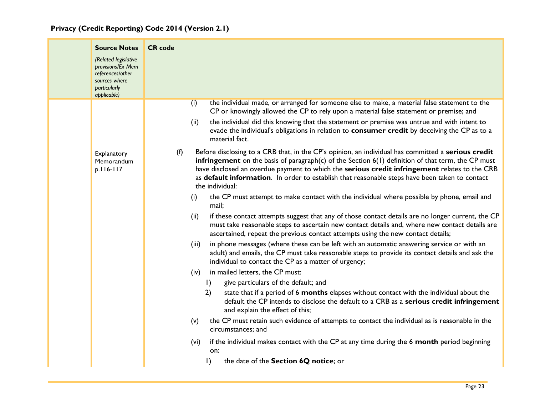|  |  | Privacy (Credit Reporting) Code 2014 (Version 2.1) |  |  |  |  |  |
|--|--|----------------------------------------------------|--|--|--|--|--|
|--|--|----------------------------------------------------|--|--|--|--|--|

| <b>Source Notes</b><br>(Related legislative<br>provisions/Ex Mem<br>references/other<br>sources where<br>particularly<br>applicable) | <b>CR</b> code                                                                                                                                                                                                                                                                                                                                                                                                                                            |
|--------------------------------------------------------------------------------------------------------------------------------------|-----------------------------------------------------------------------------------------------------------------------------------------------------------------------------------------------------------------------------------------------------------------------------------------------------------------------------------------------------------------------------------------------------------------------------------------------------------|
|                                                                                                                                      | the individual made, or arranged for someone else to make, a material false statement to the<br>(i)<br>CP or knowingly allowed the CP to rely upon a material false statement or premise; and<br>the individual did this knowing that the statement or premise was untrue and with intent to<br>(ii)<br>evade the individual's obligations in relation to consumer credit by deceiving the CP as to a                                                     |
| Explanatory<br>Memorandum<br>p.116-117                                                                                               | material fact.<br>Before disclosing to a CRB that, in the CP's opinion, an individual has committed a serious credit<br>(f)<br>infringement on the basis of paragraph(c) of the Section $6(1)$ definition of that term, the CP must<br>have disclosed an overdue payment to which the serious credit infringement relates to the CRB<br>as default information. In order to establish that reasonable steps have been taken to contact<br>the individual: |
|                                                                                                                                      | the CP must attempt to make contact with the individual where possible by phone, email and<br>(i)<br>mail;<br>if these contact attempts suggest that any of those contact details are no longer current, the CP<br>(ii)<br>must take reasonable steps to ascertain new contact details and, where new contact details are<br>ascertained, repeat the previous contact attempts using the new contact details;                                             |
|                                                                                                                                      | in phone messages (where these can be left with an automatic answering service or with an<br>(iii)<br>adult) and emails, the CP must take reasonable steps to provide its contact details and ask the<br>individual to contact the CP as a matter of urgency;                                                                                                                                                                                             |
|                                                                                                                                      | in mailed letters, the CP must:<br>(iv)<br>give particulars of the default; and<br>$\vert$ )<br>2)<br>state that if a period of 6 months elapses without contact with the individual about the<br>default the CP intends to disclose the default to a CRB as a serious credit infringement<br>and explain the effect of this;                                                                                                                             |
|                                                                                                                                      | the CP must retain such evidence of attempts to contact the individual as is reasonable in the<br>(v)<br>circumstances; and                                                                                                                                                                                                                                                                                                                               |
|                                                                                                                                      | if the individual makes contact with the CP at any time during the 6 month period beginning<br>(vi)<br>on:                                                                                                                                                                                                                                                                                                                                                |
|                                                                                                                                      | the date of the Section 6Q notice; or<br>$\vert$ )                                                                                                                                                                                                                                                                                                                                                                                                        |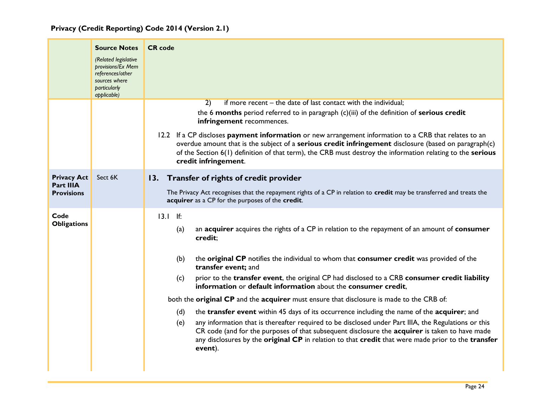<span id="page-24-0"></span>

|                                                             | <b>Source Notes</b><br>(Related legislative<br>provisions/Ex Mem<br>references/other<br>sources where<br>particularly<br>applicable) | <b>CR</b> code                                                                                                                                                                                                                                                                                                                                                                                                                                                                                                                                                                                                                                                                                                                                                                                                                                                                                                                                                       |
|-------------------------------------------------------------|--------------------------------------------------------------------------------------------------------------------------------------|----------------------------------------------------------------------------------------------------------------------------------------------------------------------------------------------------------------------------------------------------------------------------------------------------------------------------------------------------------------------------------------------------------------------------------------------------------------------------------------------------------------------------------------------------------------------------------------------------------------------------------------------------------------------------------------------------------------------------------------------------------------------------------------------------------------------------------------------------------------------------------------------------------------------------------------------------------------------|
|                                                             |                                                                                                                                      | if more recent – the date of last contact with the individual;<br>$\overline{2)}$<br>the 6 months period referred to in paragraph (c)(iii) of the definition of serious credit<br>infringement recommences.<br>12.2 If a CP discloses payment information or new arrangement information to a CRB that relates to an<br>overdue amount that is the subject of a serious credit infringement disclosure (based on paragraph(c)<br>of the Section 6(1) definition of that term), the CRB must destroy the information relating to the serious<br>credit infringement.                                                                                                                                                                                                                                                                                                                                                                                                  |
| <b>Privacy Act</b><br><b>Part IIIA</b><br><b>Provisions</b> | Sect 6K                                                                                                                              | 13. Transfer of rights of credit provider<br>The Privacy Act recognises that the repayment rights of a CP in relation to credit may be transferred and treats the<br>acquirer as a CP for the purposes of the credit.                                                                                                                                                                                                                                                                                                                                                                                                                                                                                                                                                                                                                                                                                                                                                |
| Code<br><b>Obligations</b>                                  |                                                                                                                                      | $13.1$ If:<br>an acquirer acquires the rights of a CP in relation to the repayment of an amount of consumer<br>(a)<br>credit;<br>(b)<br>the original CP notifies the individual to whom that consumer credit was provided of the<br>transfer event; and<br>prior to the transfer event, the original CP had disclosed to a CRB consumer credit liability<br>(c)<br>information or default information about the consumer credit,<br>both the original CP and the acquirer must ensure that disclosure is made to the CRB of:<br>the transfer event within 45 days of its occurrence including the name of the acquirer; and<br>(d)<br>any information that is thereafter required to be disclosed under Part IIIA, the Regulations or this<br>(e)<br>CR code (and for the purposes of that subsequent disclosure the acquirer is taken to have made<br>any disclosures by the original CP in relation to that credit that were made prior to the transfer<br>event). |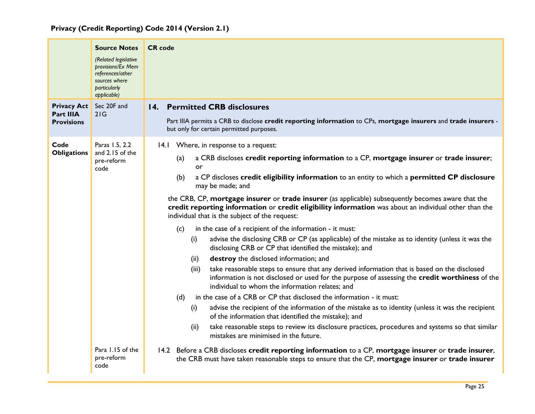<span id="page-25-0"></span>

|                                                      | <b>Source Notes</b><br>(Related legislative<br>provisions/Ex Mem<br>references/other<br>sources where<br>particularly<br>applicable) | <b>CR</b> code                                                                                                                                                                                                                                                                                                                                                                                                                                                                                                                                                                                                                                                                                                                                                                                                                                                                                                                                                                                                                                                                                                                                                                                                                                                                                                                                                                                                                                                                                                                                                                                                                                                                                                           |
|------------------------------------------------------|--------------------------------------------------------------------------------------------------------------------------------------|--------------------------------------------------------------------------------------------------------------------------------------------------------------------------------------------------------------------------------------------------------------------------------------------------------------------------------------------------------------------------------------------------------------------------------------------------------------------------------------------------------------------------------------------------------------------------------------------------------------------------------------------------------------------------------------------------------------------------------------------------------------------------------------------------------------------------------------------------------------------------------------------------------------------------------------------------------------------------------------------------------------------------------------------------------------------------------------------------------------------------------------------------------------------------------------------------------------------------------------------------------------------------------------------------------------------------------------------------------------------------------------------------------------------------------------------------------------------------------------------------------------------------------------------------------------------------------------------------------------------------------------------------------------------------------------------------------------------------|
| <b>Privacy Act</b><br>Part IIIA<br><b>Provisions</b> | Sec 20F and<br>21G                                                                                                                   | <b>Permitted CRB disclosures</b><br>14.<br>Part IIIA permits a CRB to disclose credit reporting information to CPs, mortgage insurers and trade insurers -<br>but only for certain permitted purposes.                                                                                                                                                                                                                                                                                                                                                                                                                                                                                                                                                                                                                                                                                                                                                                                                                                                                                                                                                                                                                                                                                                                                                                                                                                                                                                                                                                                                                                                                                                                   |
| Code<br><b>Obligations</b>                           | Paras 1.5, 2.2<br>and 2.15 of the<br>pre-reform<br>code<br>Para 1.15 of the<br>pre-reform<br>code                                    | 14.1 Where, in response to a request:<br>a CRB discloses credit reporting information to a CP, mortgage insurer or trade insurer;<br>(a)<br>or<br>a CP discloses credit eligibility information to an entity to which a permitted CP disclosure<br>(b)<br>may be made; and<br>the CRB, CP, mortgage insurer or trade insurer (as applicable) subsequently becomes aware that the<br>credit reporting information or credit eligibility information was about an individual other than the<br>individual that is the subject of the request:<br>in the case of a recipient of the information - it must:<br>(c)<br>advise the disclosing CRB or CP (as applicable) of the mistake as to identity (unless it was the<br>(i)<br>disclosing CRB or CP that identified the mistake); and<br>destroy the disclosed information; and<br>(ii)<br>take reasonable steps to ensure that any derived information that is based on the disclosed<br>(iii)<br>information is not disclosed or used for the purpose of assessing the credit worthiness of the<br>individual to whom the information relates; and<br>in the case of a CRB or CP that disclosed the information - it must:<br>(d)<br>advise the recipient of the information of the mistake as to identity (unless it was the recipient<br>(i)<br>of the information that identified the mistake); and<br>take reasonable steps to review its disclosure practices, procedures and systems so that similar<br>(ii)<br>mistakes are minimised in the future.<br>14.2 Before a CRB discloses credit reporting information to a CP, mortgage insurer or trade insurer,<br>the CRB must have taken reasonable steps to ensure that the CP, mortgage insurer or trade insurer |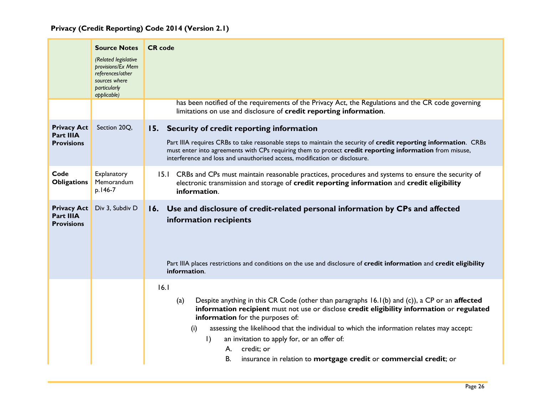<span id="page-26-1"></span><span id="page-26-0"></span>

|                                                             | <b>Source Notes</b><br>(Related legislative<br>provisions/Ex Mem<br>references/other<br>sources where<br>particularly<br>applicable) | <b>CR</b> code                                                                                                                                                                                                                                                                                                                                                                                                                                                                                                   |
|-------------------------------------------------------------|--------------------------------------------------------------------------------------------------------------------------------------|------------------------------------------------------------------------------------------------------------------------------------------------------------------------------------------------------------------------------------------------------------------------------------------------------------------------------------------------------------------------------------------------------------------------------------------------------------------------------------------------------------------|
|                                                             |                                                                                                                                      | has been notified of the requirements of the Privacy Act, the Regulations and the CR code governing<br>limitations on use and disclosure of credit reporting information.                                                                                                                                                                                                                                                                                                                                        |
| <b>Privacy Act</b><br><b>Part IIIA</b><br><b>Provisions</b> | Section 20Q,                                                                                                                         | 15. Security of credit reporting information<br>Part IIIA requires CRBs to take reasonable steps to maintain the security of credit reporting information. CRBs<br>must enter into agreements with CPs requiring them to protect credit reporting information from misuse,<br>interference and loss and unauthorised access, modification or disclosure.                                                                                                                                                         |
| Code<br><b>Obligations</b>                                  | Explanatory<br>Memorandum<br>p.146-7                                                                                                 | 15.1 CRBs and CPs must maintain reasonable practices, procedures and systems to ensure the security of<br>electronic transmission and storage of credit reporting information and credit eligibility<br>information.                                                                                                                                                                                                                                                                                             |
| <b>Privacy Act</b><br><b>Part IIIA</b><br><b>Provisions</b> | Div 3, Subdiv D                                                                                                                      | 16. Use and disclosure of credit-related personal information by CPs and affected<br>information recipients<br>Part IIIA places restrictions and conditions on the use and disclosure of credit information and credit eligibility<br>information.                                                                                                                                                                                                                                                               |
|                                                             |                                                                                                                                      | 16.1<br>Despite anything in this CR Code (other than paragraphs 16.1(b) and (c)), a CP or an affected<br>(a)<br>information recipient must not use or disclose credit eligibility information or regulated<br>information for the purposes of:<br>(i)<br>assessing the likelihood that the individual to which the information relates may accept:<br>$\mathsf{I}$<br>an invitation to apply for, or an offer of:<br>credit; or<br>А.<br>insurance in relation to mortgage credit or commercial credit; or<br>В. |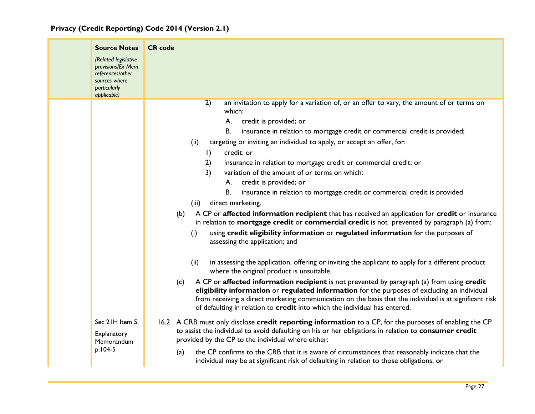|  |  | Privacy (Credit Reporting) Code 2014 (Version 2.1) |  |  |  |  |  |
|--|--|----------------------------------------------------|--|--|--|--|--|
|--|--|----------------------------------------------------|--|--|--|--|--|

|  | <b>Source Notes</b><br>(Related legislative<br>provisions/Ex Mem<br>references/other<br>sources where<br>particularly<br>applicable) | <b>CR</b> code                                                                                                                                                                                                                                                                                                                                                                                                                                                                                                                                                                                                                                                                                                                                                                                                                                                                                                                                                                   |
|--|--------------------------------------------------------------------------------------------------------------------------------------|----------------------------------------------------------------------------------------------------------------------------------------------------------------------------------------------------------------------------------------------------------------------------------------------------------------------------------------------------------------------------------------------------------------------------------------------------------------------------------------------------------------------------------------------------------------------------------------------------------------------------------------------------------------------------------------------------------------------------------------------------------------------------------------------------------------------------------------------------------------------------------------------------------------------------------------------------------------------------------|
|  |                                                                                                                                      | an invitation to apply for a variation of, or an offer to vary, the amount of or terms on<br>2)<br>which:<br>credit is provided; or<br>А.<br><b>B.</b><br>insurance in relation to mortgage credit or commercial credit is provided;<br>targeting or inviting an individual to apply, or accept an offer, for:<br>(ii)<br>credit: or<br>$\vert$<br>2)<br>insurance in relation to mortgage credit or commercial credit; or<br>3)<br>variation of the amount of or terms on which:<br>credit is provided; or<br>А.<br><b>B.</b><br>insurance in relation to mortgage credit or commercial credit is provided<br>direct marketing.<br>(iii)<br>A CP or affected information recipient that has received an application for credit or insurance<br>(b)<br>in relation to mortgage credit or commercial credit is not prevented by paragraph (a) from:<br>using credit eligibility information or regulated information for the purposes of<br>(i)<br>assessing the application; and |
|  | Sec 21H Item 5,<br>Explanatory<br>Memorandum                                                                                         | in assessing the application, offering or inviting the applicant to apply for a different product<br>(ii)<br>where the original product is unsuitable.<br>A CP or affected information recipient is not prevented by paragraph (a) from using credit<br>(c)<br>eligibility information or regulated information for the purposes of excluding an individual<br>from receiving a direct marketing communication on the basis that the individual is at significant risk<br>of defaulting in relation to credit into which the individual has entered.<br>16.2 A CRB must only disclose credit reporting information to a CP, for the purposes of enabling the CP<br>to assist the individual to avoid defaulting on his or her obligations in relation to consumer credit<br>provided by the CP to the individual where either:                                                                                                                                                   |
|  | p.104-5                                                                                                                              | the CP confirms to the CRB that it is aware of circumstances that reasonably indicate that the<br>(a)<br>individual may be at significant risk of defaulting in relation to those obligations; or                                                                                                                                                                                                                                                                                                                                                                                                                                                                                                                                                                                                                                                                                                                                                                                |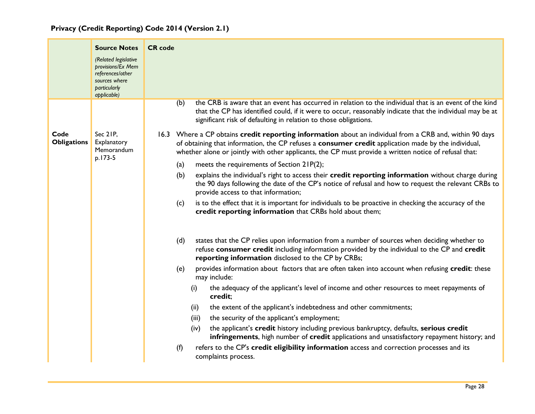|                            | <b>Source Notes</b><br>(Related legislative<br>provisions/Ex Mem<br>references/other<br>sources where<br>particularly | <b>CR</b> code                                                                                                                                                                                                                                                                                                          |
|----------------------------|-----------------------------------------------------------------------------------------------------------------------|-------------------------------------------------------------------------------------------------------------------------------------------------------------------------------------------------------------------------------------------------------------------------------------------------------------------------|
|                            | applicable)                                                                                                           | the CRB is aware that an event has occurred in relation to the individual that is an event of the kind<br>(b)                                                                                                                                                                                                           |
|                            |                                                                                                                       | that the CP has identified could, if it were to occur, reasonably indicate that the individual may be at<br>significant risk of defaulting in relation to those obligations.                                                                                                                                            |
| Code<br><b>Obligations</b> | Sec 21P,<br>Explanatory<br>Memorandum                                                                                 | 16.3 Where a CP obtains credit reporting information about an individual from a CRB and, within 90 days<br>of obtaining that information, the CP refuses a consumer credit application made by the individual,<br>whether alone or jointly with other applicants, the CP must provide a written notice of refusal that: |
|                            | p.173-5                                                                                                               | meets the requirements of Section 21P(2);<br>(a)                                                                                                                                                                                                                                                                        |
|                            |                                                                                                                       | explains the individual's right to access their credit reporting information without charge during<br>(b)<br>the 90 days following the date of the CP's notice of refusal and how to request the relevant CRBs to<br>provide access to that information;                                                                |
|                            |                                                                                                                       | is to the effect that it is important for individuals to be proactive in checking the accuracy of the<br>(c)<br>credit reporting information that CRBs hold about them;                                                                                                                                                 |
|                            |                                                                                                                       | states that the CP relies upon information from a number of sources when deciding whether to<br>(d)<br>refuse consumer credit including information provided by the individual to the CP and credit<br>reporting information disclosed to the CP by CRBs;                                                               |
|                            |                                                                                                                       | provides information about factors that are often taken into account when refusing credit: these<br>(e)<br>may include:                                                                                                                                                                                                 |
|                            |                                                                                                                       | the adequacy of the applicant's level of income and other resources to meet repayments of<br>(i)<br>credit:                                                                                                                                                                                                             |
|                            |                                                                                                                       | the extent of the applicant's indebtedness and other commitments;<br>(ii)                                                                                                                                                                                                                                               |
|                            |                                                                                                                       | the security of the applicant's employment;<br>(iii)                                                                                                                                                                                                                                                                    |
|                            |                                                                                                                       | the applicant's credit history including previous bankruptcy, defaults, serious credit<br>(iv)<br>infringements, high number of credit applications and unsatisfactory repayment history; and                                                                                                                           |
|                            |                                                                                                                       | refers to the CP's credit eligibility information access and correction processes and its<br>(f)<br>complaints process.                                                                                                                                                                                                 |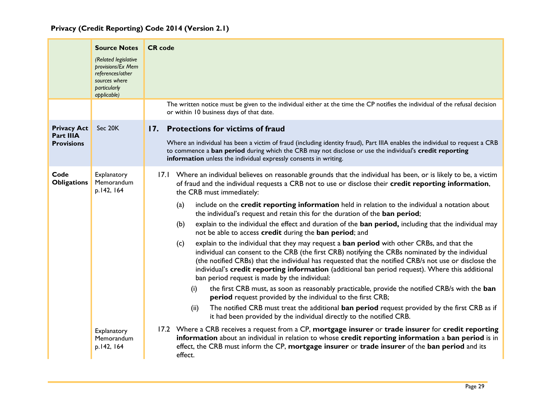<span id="page-29-0"></span>

|                                                      | <b>Source Notes</b><br>(Related legislative<br>provisions/Ex Mem<br>references/other<br>sources where<br>particularly<br>applicable) | <b>CR</b> code                                                                                                                                                                                                                                                                                                                                                                                                                                                                                                                                                                                                                                                                                                                                                                                                                                                                                                                                                                                                                                                                                                                                                                                                                                                                                                                                                                                                                                                                                                                                                                                                                                                                                                                                                                                       |
|------------------------------------------------------|--------------------------------------------------------------------------------------------------------------------------------------|------------------------------------------------------------------------------------------------------------------------------------------------------------------------------------------------------------------------------------------------------------------------------------------------------------------------------------------------------------------------------------------------------------------------------------------------------------------------------------------------------------------------------------------------------------------------------------------------------------------------------------------------------------------------------------------------------------------------------------------------------------------------------------------------------------------------------------------------------------------------------------------------------------------------------------------------------------------------------------------------------------------------------------------------------------------------------------------------------------------------------------------------------------------------------------------------------------------------------------------------------------------------------------------------------------------------------------------------------------------------------------------------------------------------------------------------------------------------------------------------------------------------------------------------------------------------------------------------------------------------------------------------------------------------------------------------------------------------------------------------------------------------------------------------------|
|                                                      |                                                                                                                                      | The written notice must be given to the individual either at the time the CP notifies the individual of the refusal decision<br>or within 10 business days of that date.                                                                                                                                                                                                                                                                                                                                                                                                                                                                                                                                                                                                                                                                                                                                                                                                                                                                                                                                                                                                                                                                                                                                                                                                                                                                                                                                                                                                                                                                                                                                                                                                                             |
| <b>Privacy Act</b><br>Part IIIA<br><b>Provisions</b> | Sec 20K                                                                                                                              | 17. Protections for victims of fraud<br>Where an individual has been a victim of fraud (including identity fraud), Part IIIA enables the individual to request a CRB<br>to commence a ban period during which the CRB may not disclose or use the individual's credit reporting<br>information unless the individual expressly consents in writing.                                                                                                                                                                                                                                                                                                                                                                                                                                                                                                                                                                                                                                                                                                                                                                                                                                                                                                                                                                                                                                                                                                                                                                                                                                                                                                                                                                                                                                                  |
| Code<br><b>Obligations</b>                           | Explanatory<br>Memorandum<br>p.142, 164<br>Explanatory<br>Memorandum<br>p.142, 164                                                   | 17.1 Where an individual believes on reasonable grounds that the individual has been, or is likely to be, a victim<br>of fraud and the individual requests a CRB not to use or disclose their credit reporting information,<br>the CRB must immediately:<br>include on the credit reporting information held in relation to the individual a notation about<br>(a)<br>the individual's request and retain this for the duration of the ban period;<br>explain to the individual the effect and duration of the ban period, including that the individual may<br>(b)<br>not be able to access credit during the ban period; and<br>explain to the individual that they may request a <b>ban period</b> with other CRBs, and that the<br>(c)<br>individual can consent to the CRB (the first CRB) notifying the CRBs nominated by the individual<br>(the notified CRBs) that the individual has requested that the notified CRB/s not use or disclose the<br>individual's credit reporting information (additional ban period request). Where this additional<br>ban period request is made by the individual:<br>the first CRB must, as soon as reasonably practicable, provide the notified CRB/s with the ban<br>(i)<br>period request provided by the individual to the first CRB;<br>The notified CRB must treat the additional ban period request provided by the first CRB as if<br>(ii)<br>it had been provided by the individual directly to the notified CRB.<br>17.2 Where a CRB receives a request from a CP, mortgage insurer or trade insurer for credit reporting<br>information about an individual in relation to whose credit reporting information a ban period is in<br>effect, the CRB must inform the CP, mortgage insurer or trade insurer of the ban period and its<br>effect. |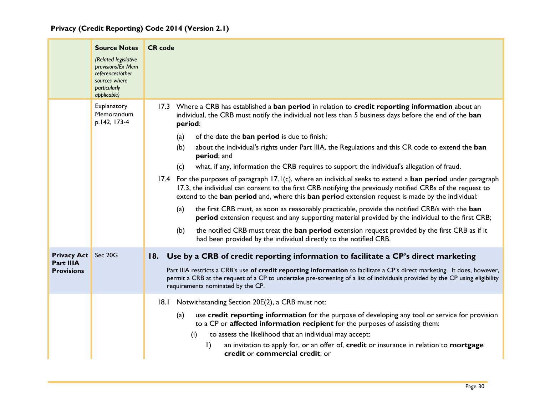<span id="page-30-0"></span>

|                                                              | <b>Source Notes</b><br>(Related legislative<br>provisions/Ex Mem<br>references/other<br>sources where<br>particularly<br>applicable) | <b>CR</b> code                                                                                                                                                                                                                                                                                                                                                                                                                                                                                                                                                                                                                                                                                                                                                                                                                                                                                                                                                                                                                                                                                                                                                                                                                                 |
|--------------------------------------------------------------|--------------------------------------------------------------------------------------------------------------------------------------|------------------------------------------------------------------------------------------------------------------------------------------------------------------------------------------------------------------------------------------------------------------------------------------------------------------------------------------------------------------------------------------------------------------------------------------------------------------------------------------------------------------------------------------------------------------------------------------------------------------------------------------------------------------------------------------------------------------------------------------------------------------------------------------------------------------------------------------------------------------------------------------------------------------------------------------------------------------------------------------------------------------------------------------------------------------------------------------------------------------------------------------------------------------------------------------------------------------------------------------------|
|                                                              | Explanatory<br><b>Memorandum</b><br>p.142, 173-4                                                                                     | 17.3 Where a CRB has established a ban period in relation to credit reporting information about an<br>individual, the CRB must notify the individual not less than 5 business days before the end of the ban<br>period:<br>of the date the ban period is due to finish;<br>(a)<br>about the individual's rights under Part IIIA, the Regulations and this CR code to extend the ban<br>(b)<br>period; and<br>what, if any, information the CRB requires to support the individual's allegation of fraud.<br>(c)<br>17.4 For the purposes of paragraph 17.1(c), where an individual seeks to extend a ban period under paragraph<br>17.3, the individual can consent to the first CRB notifying the previously notified CRBs of the request to<br>extend to the ban period and, where this ban period extension request is made by the individual:<br>the first CRB must, as soon as reasonably practicable, provide the notified CRB/s with the ban<br>(a)<br>period extension request and any supporting material provided by the individual to the first CRB;<br>(b)<br>the notified CRB must treat the ban period extension request provided by the first CRB as if it<br>had been provided by the individual directly to the notified CRB. |
| <b>Privacy Act</b> Sec 20G<br>Part IIIA<br><b>Provisions</b> |                                                                                                                                      | 18. Use by a CRB of credit reporting information to facilitate a CP's direct marketing<br>Part IIIA restricts a CRB's use of credit reporting information to facilitate a CP's direct marketing. It does, however,<br>permit a CRB at the request of a CP to undertake pre-screening of a list of individuals provided by the CP using eligibility<br>requirements nominated by the CP.                                                                                                                                                                                                                                                                                                                                                                                                                                                                                                                                                                                                                                                                                                                                                                                                                                                        |
|                                                              |                                                                                                                                      | 18.1 Notwithstanding Section 20E(2), a CRB must not:<br>use credit reporting information for the purpose of developing any tool or service for provision<br>(a)<br>to a CP or affected information recipient for the purposes of assisting them:<br>to assess the likelihood that an individual may accept:<br>(i)<br>$\vert$ )<br>an invitation to apply for, or an offer of, credit or insurance in relation to mortgage<br>credit or commercial credit; or                                                                                                                                                                                                                                                                                                                                                                                                                                                                                                                                                                                                                                                                                                                                                                                  |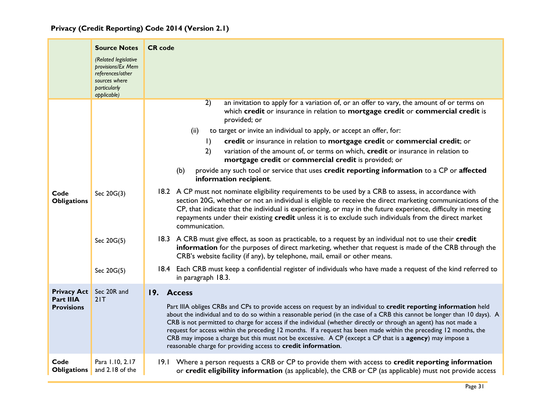<span id="page-31-0"></span>

|                                                             | <b>Source Notes</b><br>(Related legislative<br>provisions/Ex Mem<br>references/other<br>sources where<br>particularly<br>applicable) | <b>CR</b> code                                                                                                                                                                                                                                                                                                                                                                                                                                                                                                                                                                                                                                                                      |
|-------------------------------------------------------------|--------------------------------------------------------------------------------------------------------------------------------------|-------------------------------------------------------------------------------------------------------------------------------------------------------------------------------------------------------------------------------------------------------------------------------------------------------------------------------------------------------------------------------------------------------------------------------------------------------------------------------------------------------------------------------------------------------------------------------------------------------------------------------------------------------------------------------------|
|                                                             |                                                                                                                                      | $\overline{2)}$<br>an invitation to apply for a variation of, or an offer to vary, the amount of or terms on<br>which credit or insurance in relation to mortgage credit or commercial credit is<br>provided; or<br>to target or invite an individual to apply, or accept an offer, for:<br>(ii)<br>credit or insurance in relation to mortgage credit or commercial credit; or<br>$\vert$ )<br>variation of the amount of, or terms on which, credit or insurance in relation to<br>2)<br>mortgage credit or commercial credit is provided; or<br>provide any such tool or service that uses credit reporting information to a CP or affected<br>(b)                               |
| Code<br><b>Obligations</b>                                  | Sec 20G(3)                                                                                                                           | information recipient.<br>18.2 A CP must not nominate eligibility requirements to be used by a CRB to assess, in accordance with<br>section 20G, whether or not an individual is eligible to receive the direct marketing communications of the<br>CP, that indicate that the individual is experiencing, or may in the future experience, difficulty in meeting<br>repayments under their existing credit unless it is to exclude such individuals from the direct market<br>communication.                                                                                                                                                                                        |
|                                                             | Sec 20G(5)                                                                                                                           | 18.3 A CRB must give effect, as soon as practicable, to a request by an individual not to use their credit<br>information for the purposes of direct marketing, whether that request is made of the CRB through the<br>CRB's website facility (if any), by telephone, mail, email or other means.                                                                                                                                                                                                                                                                                                                                                                                   |
|                                                             | Sec 20G(5)                                                                                                                           | 18.4 Each CRB must keep a confidential register of individuals who have made a request of the kind referred to<br>in paragraph 18.3.                                                                                                                                                                                                                                                                                                                                                                                                                                                                                                                                                |
| <b>Privacy Act</b><br><b>Part IIIA</b><br><b>Provisions</b> | Sec 20R and<br>21T                                                                                                                   | 19. Access<br>Part IIIA obliges CRBs and CPs to provide access on request by an individual to credit reporting information held<br>about the individual and to do so within a reasonable period (in the case of a CRB this cannot be longer than 10 days). A<br>CRB is not permitted to charge for access if the individual (whether directly or through an agent) has not made a<br>request for access within the preceding 12 months. If a request has been made within the preceding 12 months, the<br>CRB may impose a charge but this must not be excessive. A CP (except a CP that is a agency) may impose a<br>reasonable charge for providing access to credit information. |
| Code<br><b>Obligations</b>                                  | Para 1.10, 2.17<br>and 2.18 of the                                                                                                   | 19.1 Where a person requests a CRB or CP to provide them with access to credit reporting information<br>or credit eligibility information (as applicable), the CRB or CP (as applicable) must not provide access                                                                                                                                                                                                                                                                                                                                                                                                                                                                    |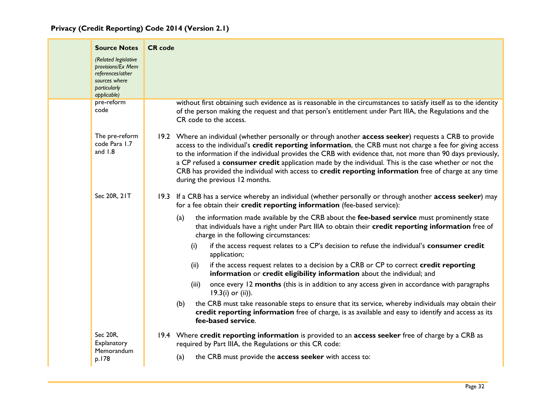| <b>Source Notes</b><br>(Related legislative<br>provisions/Ex Mem<br>references/other<br>sources where<br>particularly<br>applicable)<br>pre-reform | <b>CR</b> code | without first obtaining such evidence as is reasonable in the circumstances to satisfy itself as to the identity                                                                                                                                                                                                                                                                                                                                                                                                                                                                          |
|----------------------------------------------------------------------------------------------------------------------------------------------------|----------------|-------------------------------------------------------------------------------------------------------------------------------------------------------------------------------------------------------------------------------------------------------------------------------------------------------------------------------------------------------------------------------------------------------------------------------------------------------------------------------------------------------------------------------------------------------------------------------------------|
| code                                                                                                                                               |                | of the person making the request and that person's entitlement under Part IIIA, the Regulations and the<br>CR code to the access.                                                                                                                                                                                                                                                                                                                                                                                                                                                         |
| The pre-reform<br>code Para 1.7<br>and $1.8$                                                                                                       |                | 19.2 Where an individual (whether personally or through another access seeker) requests a CRB to provide<br>access to the individual's credit reporting information, the CRB must not charge a fee for giving access<br>to the information if the individual provides the CRB with evidence that, not more than 90 days previously,<br>a CP refused a consumer credit application made by the individual. This is the case whether or not the<br>CRB has provided the individual with access to credit reporting information free of charge at any time<br>during the previous 12 months. |
| Sec 20R, 21T                                                                                                                                       |                | 19.3 If a CRB has a service whereby an individual (whether personally or through another access seeker) may<br>for a fee obtain their credit reporting information (fee-based service):                                                                                                                                                                                                                                                                                                                                                                                                   |
|                                                                                                                                                    |                | the information made available by the CRB about the fee-based service must prominently state<br>(a)<br>that individuals have a right under Part IIIA to obtain their credit reporting information free of<br>charge in the following circumstances:                                                                                                                                                                                                                                                                                                                                       |
|                                                                                                                                                    |                | if the access request relates to a CP's decision to refuse the individual's consumer credit<br>(i)<br>application;                                                                                                                                                                                                                                                                                                                                                                                                                                                                        |
|                                                                                                                                                    |                | if the access request relates to a decision by a CRB or CP to correct credit reporting<br>(ii)<br>information or credit eligibility information about the individual; and                                                                                                                                                                                                                                                                                                                                                                                                                 |
|                                                                                                                                                    |                | once every 12 months (this is in addition to any access given in accordance with paragraphs<br>(iii)<br>$19.3(i)$ or (ii)).                                                                                                                                                                                                                                                                                                                                                                                                                                                               |
|                                                                                                                                                    |                | the CRB must take reasonable steps to ensure that its service, whereby individuals may obtain their<br>(b)<br>credit reporting information free of charge, is as available and easy to identify and access as its<br>fee-based service.                                                                                                                                                                                                                                                                                                                                                   |
| Sec 20R,<br>Explanatory                                                                                                                            |                | 19.4 Where credit reporting information is provided to an access seeker free of charge by a CRB as<br>required by Part IIIA, the Regulations or this CR code:                                                                                                                                                                                                                                                                                                                                                                                                                             |
| Memorandum<br>p.178                                                                                                                                |                | the CRB must provide the access seeker with access to:<br>(a)                                                                                                                                                                                                                                                                                                                                                                                                                                                                                                                             |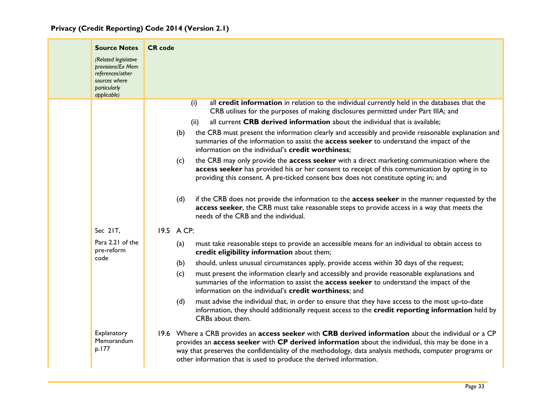| <b>Source Notes</b>                                                                                           | <b>CR</b> code                                                                                                                                                                                                                                                                                                                                                                            |
|---------------------------------------------------------------------------------------------------------------|-------------------------------------------------------------------------------------------------------------------------------------------------------------------------------------------------------------------------------------------------------------------------------------------------------------------------------------------------------------------------------------------|
| (Related legislative<br>provisions/Ex Mem<br>references/other<br>sources where<br>particularly<br>applicable) |                                                                                                                                                                                                                                                                                                                                                                                           |
|                                                                                                               | all credit information in relation to the individual currently held in the databases that the<br>(i)<br>CRB utilises for the purposes of making disclosures permitted under Part IIIA; and                                                                                                                                                                                                |
|                                                                                                               | all current CRB derived information about the individual that is available;<br>(ii)                                                                                                                                                                                                                                                                                                       |
|                                                                                                               | the CRB must present the information clearly and accessibly and provide reasonable explanation and<br>(b)<br>summaries of the information to assist the access seeker to understand the impact of the<br>information on the individual's credit worthiness;                                                                                                                               |
|                                                                                                               | the CRB may only provide the access seeker with a direct marketing communication where the<br>(c)<br>access seeker has provided his or her consent to receipt of this communication by opting in to<br>providing this consent. A pre-ticked consent box does not constitute opting in; and                                                                                                |
|                                                                                                               | if the CRB does not provide the information to the <b>access seeker</b> in the manner requested by the<br>(d)<br>access seeker, the CRB must take reasonable steps to provide access in a way that meets the<br>needs of the CRB and the individual.                                                                                                                                      |
| Sec 21T,                                                                                                      | 19.5 A CP:                                                                                                                                                                                                                                                                                                                                                                                |
| Para 2.21 of the<br>pre-reform                                                                                | must take reasonable steps to provide an accessible means for an individual to obtain access to<br>(a)<br>credit eligibility information about them;                                                                                                                                                                                                                                      |
| code                                                                                                          | should, unless unusual circumstances apply, provide access within 30 days of the request;<br>(b)                                                                                                                                                                                                                                                                                          |
|                                                                                                               | must present the information clearly and accessibly and provide reasonable explanations and<br>(c)<br>summaries of the information to assist the access seeker to understand the impact of the<br>information on the individual's credit worthiness; and                                                                                                                                  |
|                                                                                                               | must advise the individual that, in order to ensure that they have access to the most up-to-date<br>(d)<br>information, they should additionally request access to the credit reporting information held by<br>CRBs about them.                                                                                                                                                           |
| Explanatory<br>Memorandum<br>p.177                                                                            | 19.6 Where a CRB provides an access seeker with CRB derived information about the individual or a CP<br>provides an access seeker with CP derived information about the individual, this may be done in a<br>way that preserves the confidentiality of the methodology, data analysis methods, computer programs or<br>other information that is used to produce the derived information. |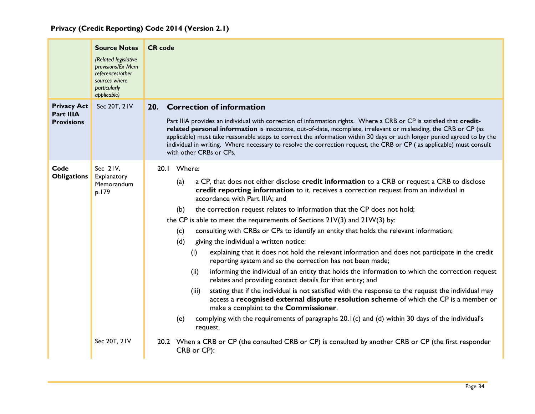<span id="page-34-0"></span>

|                                                             | <b>Source Notes</b><br>(Related legislative<br>provisions/Ex Mem<br>references/other<br>sources where<br><b>particularly</b><br>applicable) | <b>CR</b> code                                                                                                                                                                                                                                                                                                                                                                                                                                                                                                                                                                                                                                                                                                                                                                                                                                                                                                                                                                                                                                                                                                                                                                                                                                                                                                                                                                                                         |  |
|-------------------------------------------------------------|---------------------------------------------------------------------------------------------------------------------------------------------|------------------------------------------------------------------------------------------------------------------------------------------------------------------------------------------------------------------------------------------------------------------------------------------------------------------------------------------------------------------------------------------------------------------------------------------------------------------------------------------------------------------------------------------------------------------------------------------------------------------------------------------------------------------------------------------------------------------------------------------------------------------------------------------------------------------------------------------------------------------------------------------------------------------------------------------------------------------------------------------------------------------------------------------------------------------------------------------------------------------------------------------------------------------------------------------------------------------------------------------------------------------------------------------------------------------------------------------------------------------------------------------------------------------------|--|
| <b>Privacy Act</b><br><b>Part IIIA</b><br><b>Provisions</b> | Sec 20T, 21V                                                                                                                                | 20. Correction of information<br>Part IIIA provides an individual with correction of information rights. Where a CRB or CP is satisfied that credit-<br>related personal information is inaccurate, out-of-date, incomplete, irrelevant or misleading, the CRB or CP (as<br>applicable) must take reasonable steps to correct the information within 30 days or such longer period agreed to by the<br>individual in writing. Where necessary to resolve the correction request, the CRB or CP (as applicable) must consult<br>with other CRBs or CPs.                                                                                                                                                                                                                                                                                                                                                                                                                                                                                                                                                                                                                                                                                                                                                                                                                                                                 |  |
| Code<br><b>Obligations</b>                                  | Sec 2IV,<br>Explanatory<br>Memorandum<br>p.179<br>Sec 20T, 21V                                                                              | 20.1 Where:<br>a CP, that does not either disclose credit information to a CRB or request a CRB to disclose<br>(a)<br>credit reporting information to it, receives a correction request from an individual in<br>accordance with Part IIIA; and<br>the correction request relates to information that the CP does not hold;<br>(b)<br>the CP is able to meet the requirements of Sections 21V(3) and 21W(3) by:<br>consulting with CRBs or CPs to identify an entity that holds the relevant information;<br>(c)<br>(d)<br>giving the individual a written notice:<br>explaining that it does not hold the relevant information and does not participate in the credit<br>(i)<br>reporting system and so the correction has not been made;<br>informing the individual of an entity that holds the information to which the correction request<br>(ii)<br>relates and providing contact details for that entity; and<br>stating that if the individual is not satisfied with the response to the request the individual may<br>(iii)<br>access a recognised external dispute resolution scheme of which the CP is a member or<br>make a complaint to the Commissioner.<br>complying with the requirements of paragraphs 20.1(c) and (d) within 30 days of the individual's<br>(e)<br>request.<br>20.2 When a CRB or CP (the consulted CRB or CP) is consulted by another CRB or CP (the first responder<br>CRB or CP): |  |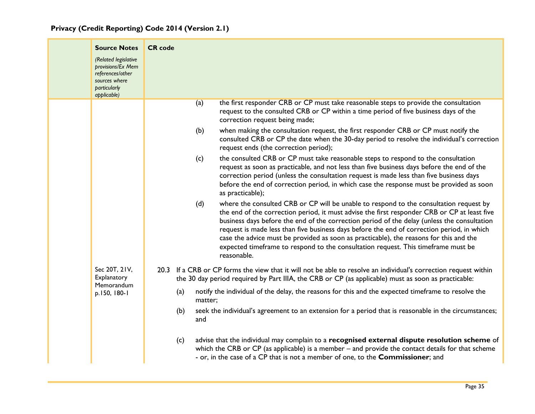|  | <b>Source Notes</b><br>(Related legislative<br>provisions/Ex Mem<br>references/other<br>sources where<br><b>particularly</b><br>applicable) | <b>CR</b> code                                                                                                                                                                                                                                                                                                                                                                                                                                                                                                                                                                           |
|--|---------------------------------------------------------------------------------------------------------------------------------------------|------------------------------------------------------------------------------------------------------------------------------------------------------------------------------------------------------------------------------------------------------------------------------------------------------------------------------------------------------------------------------------------------------------------------------------------------------------------------------------------------------------------------------------------------------------------------------------------|
|  |                                                                                                                                             | the first responder CRB or CP must take reasonable steps to provide the consultation<br>(a)<br>request to the consulted CRB or CP within a time period of five business days of the<br>correction request being made;                                                                                                                                                                                                                                                                                                                                                                    |
|  |                                                                                                                                             | (b)<br>when making the consultation request, the first responder CRB or CP must notify the<br>consulted CRB or CP the date when the 30-day period to resolve the individual's correction<br>request ends (the correction period);                                                                                                                                                                                                                                                                                                                                                        |
|  |                                                                                                                                             | the consulted CRB or CP must take reasonable steps to respond to the consultation<br>(c)<br>request as soon as practicable, and not less than five business days before the end of the<br>correction period (unless the consultation request is made less than five business days<br>before the end of correction period, in which case the response must be provided as soon<br>as practicable);                                                                                                                                                                                        |
|  |                                                                                                                                             | where the consulted CRB or CP will be unable to respond to the consultation request by<br>(d)<br>the end of the correction period, it must advise the first responder CRB or CP at least five<br>business days before the end of the correction period of the delay (unless the consultation<br>request is made less than five business days before the end of correction period, in which<br>case the advice must be provided as soon as practicable), the reasons for this and the<br>expected timeframe to respond to the consultation request. This timeframe must be<br>reasonable. |
|  | Sec 20T, 21V,<br>Explanatory<br>Memorandum<br>p.150, 180-1                                                                                  | 20.3 If a CRB or CP forms the view that it will not be able to resolve an individual's correction request within<br>the 30 day period required by Part IIIA, the CRB or CP (as applicable) must as soon as practicable:                                                                                                                                                                                                                                                                                                                                                                  |
|  |                                                                                                                                             | notify the individual of the delay, the reasons for this and the expected timeframe to resolve the<br>(a)<br>matter;                                                                                                                                                                                                                                                                                                                                                                                                                                                                     |
|  |                                                                                                                                             | seek the individual's agreement to an extension for a period that is reasonable in the circumstances;<br>(b)<br>and                                                                                                                                                                                                                                                                                                                                                                                                                                                                      |
|  |                                                                                                                                             | advise that the individual may complain to a recognised external dispute resolution scheme of<br>(c)<br>which the CRB or CP (as applicable) is a member – and provide the contact details for that scheme<br>- or, in the case of a CP that is not a member of one, to the Commissioner; and                                                                                                                                                                                                                                                                                             |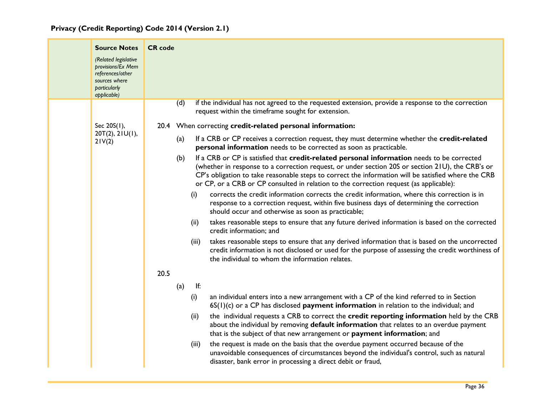| <b>Source Notes</b>                                                                                           | <b>CR</b> code |       |                                                                                                                                                                                                                                                                                                                                                                                                 |
|---------------------------------------------------------------------------------------------------------------|----------------|-------|-------------------------------------------------------------------------------------------------------------------------------------------------------------------------------------------------------------------------------------------------------------------------------------------------------------------------------------------------------------------------------------------------|
| (Related legislative<br>provisions/Ex Mem<br>references/other<br>sources where<br>particularly<br>applicable) |                |       |                                                                                                                                                                                                                                                                                                                                                                                                 |
|                                                                                                               | (d)            |       | if the individual has not agreed to the requested extension, provide a response to the correction<br>request within the timeframe sought for extension.                                                                                                                                                                                                                                         |
| Sec 20S(1),                                                                                                   |                |       | 20.4 When correcting credit-related personal information:                                                                                                                                                                                                                                                                                                                                       |
| 20T(2), 21U(1),<br>21V(2)                                                                                     | (a)            |       | If a CRB or CP receives a correction request, they must determine whether the credit-related<br>personal information needs to be corrected as soon as practicable.                                                                                                                                                                                                                              |
|                                                                                                               | (b)            |       | If a CRB or CP is satisfied that credit-related personal information needs to be corrected<br>(whether in response to a correction request, or under section 20S or section 21U), the CRB's or<br>CP's obligation to take reasonable steps to correct the information will be satisfied where the CRB<br>or CP, or a CRB or CP consulted in relation to the correction request (as applicable): |
|                                                                                                               |                | (i)   | corrects the credit information corrects the credit information, where this correction is in<br>response to a correction request, within five business days of determining the correction<br>should occur and otherwise as soon as practicable;                                                                                                                                                 |
|                                                                                                               |                | (ii)  | takes reasonable steps to ensure that any future derived information is based on the corrected<br>credit information; and                                                                                                                                                                                                                                                                       |
|                                                                                                               |                | (iii) | takes reasonable steps to ensure that any derived information that is based on the uncorrected<br>credit information is not disclosed or used for the purpose of assessing the credit worthiness of<br>the individual to whom the information relates.                                                                                                                                          |
|                                                                                                               | 20.5           |       |                                                                                                                                                                                                                                                                                                                                                                                                 |
|                                                                                                               | (a)            | lf:   |                                                                                                                                                                                                                                                                                                                                                                                                 |
|                                                                                                               |                | (i)   | an individual enters into a new arrangement with a CP of the kind referred to in Section<br>$6S(1)(c)$ or a CP has disclosed <b>payment information</b> in relation to the individual; and                                                                                                                                                                                                      |
|                                                                                                               |                | (ii)  | the individual requests a CRB to correct the credit reporting information held by the CRB<br>about the individual by removing default information that relates to an overdue payment<br>that is the subject of that new arrangement or payment information; and                                                                                                                                 |
|                                                                                                               |                | (iii) | the request is made on the basis that the overdue payment occurred because of the<br>unavoidable consequences of circumstances beyond the individual's control, such as natural<br>disaster, bank error in processing a direct debit or fraud,                                                                                                                                                  |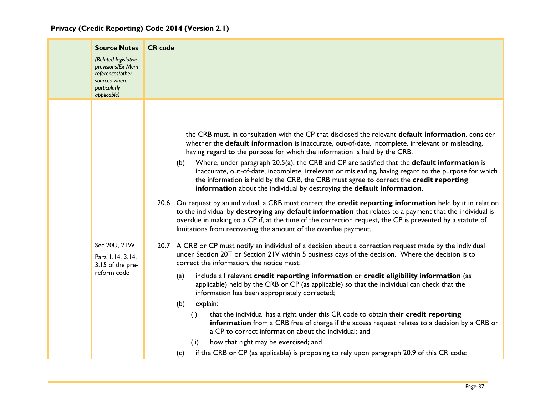| <b>Source Notes</b><br>(Related legislative<br>provisions/Ex Mem<br>references/other<br>sources where<br><b>particularly</b><br>applicable) | <b>CR</b> code                                                                                                                                                                                                                                                                                                                                                                                                                                                                                                                                                                                                                                                                                                                                                                                                                                                                                                                                                                                                                                                                                                                                                                                                                                                                                                                                                                                                                                                                                                                                                                                                                                                                                                                                                                                                                                                                                                                                                                                                                          |
|---------------------------------------------------------------------------------------------------------------------------------------------|-----------------------------------------------------------------------------------------------------------------------------------------------------------------------------------------------------------------------------------------------------------------------------------------------------------------------------------------------------------------------------------------------------------------------------------------------------------------------------------------------------------------------------------------------------------------------------------------------------------------------------------------------------------------------------------------------------------------------------------------------------------------------------------------------------------------------------------------------------------------------------------------------------------------------------------------------------------------------------------------------------------------------------------------------------------------------------------------------------------------------------------------------------------------------------------------------------------------------------------------------------------------------------------------------------------------------------------------------------------------------------------------------------------------------------------------------------------------------------------------------------------------------------------------------------------------------------------------------------------------------------------------------------------------------------------------------------------------------------------------------------------------------------------------------------------------------------------------------------------------------------------------------------------------------------------------------------------------------------------------------------------------------------------------|
| Sec 20U, 21W<br>Para 1.14, 3.14,<br>3.15 of the pre-<br>reform code                                                                         | the CRB must, in consultation with the CP that disclosed the relevant default information, consider<br>whether the default information is inaccurate, out-of-date, incomplete, irrelevant or misleading,<br>having regard to the purpose for which the information is held by the CRB.<br>Where, under paragraph 20.5(a), the CRB and CP are satisfied that the default information is<br>(b)<br>inaccurate, out-of-date, incomplete, irrelevant or misleading, having regard to the purpose for which<br>the information is held by the CRB, the CRB must agree to correct the credit reporting<br>information about the individual by destroying the default information.<br>20.6 On request by an individual, a CRB must correct the credit reporting information held by it in relation<br>to the individual by destroying any default information that relates to a payment that the individual is<br>overdue in making to a CP if, at the time of the correction request, the CP is prevented by a statute of<br>limitations from recovering the amount of the overdue payment.<br>20.7 A CRB or CP must notify an individual of a decision about a correction request made by the individual<br>under Section 20T or Section 21V within 5 business days of the decision. Where the decision is to<br>correct the information, the notice must:<br>include all relevant credit reporting information or credit eligibility information (as<br>(a)<br>applicable) held by the CRB or CP (as applicable) so that the individual can check that the<br>information has been appropriately corrected;<br>explain:<br>(b)<br>that the individual has a right under this CR code to obtain their credit reporting<br>(i)<br>information from a CRB free of charge if the access request relates to a decision by a CRB or<br>a CP to correct information about the individual; and<br>how that right may be exercised; and<br>(ii)<br>if the CRB or CP (as applicable) is proposing to rely upon paragraph 20.9 of this CR code:<br>(c) |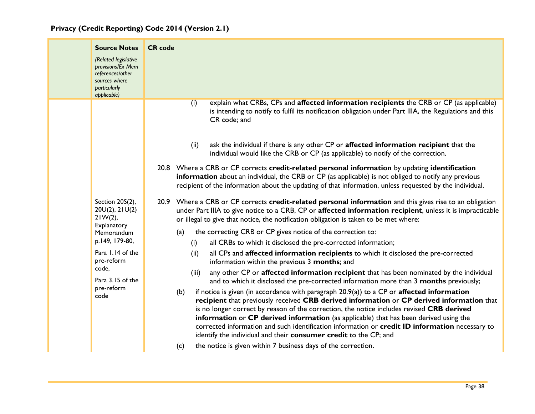| <b>Source Notes</b><br>(Related legislative<br>provisions/Ex Mem<br>references/other<br>sources where<br>particularly<br>applicable)                                                | <b>CR</b> code                                                                                                                                                                                                                                                                                                                                                                                                                                                                                                                                                                                                                                                                                                                                                                                                                                                                                                                                                                                                                                                                                                                                                                                                                                                                                                                                                                                                                                                                                                                                                |
|-------------------------------------------------------------------------------------------------------------------------------------------------------------------------------------|---------------------------------------------------------------------------------------------------------------------------------------------------------------------------------------------------------------------------------------------------------------------------------------------------------------------------------------------------------------------------------------------------------------------------------------------------------------------------------------------------------------------------------------------------------------------------------------------------------------------------------------------------------------------------------------------------------------------------------------------------------------------------------------------------------------------------------------------------------------------------------------------------------------------------------------------------------------------------------------------------------------------------------------------------------------------------------------------------------------------------------------------------------------------------------------------------------------------------------------------------------------------------------------------------------------------------------------------------------------------------------------------------------------------------------------------------------------------------------------------------------------------------------------------------------------|
|                                                                                                                                                                                     | explain what CRBs, CPs and affected information recipients the CRB or CP (as applicable)<br>(i)<br>is intending to notify to fulfil its notification obligation under Part IIIA, the Regulations and this<br>CR code; and<br>ask the individual if there is any other CP or affected information recipient that the<br>(ii)<br>individual would like the CRB or CP (as applicable) to notify of the correction.<br>20.8 Where a CRB or CP corrects credit-related personal information by updating identification<br>information about an individual, the CRB or CP (as applicable) is not obliged to notify any previous                                                                                                                                                                                                                                                                                                                                                                                                                                                                                                                                                                                                                                                                                                                                                                                                                                                                                                                                     |
| Section 20S(2),<br>20U(2), 21U(2)<br>$21W(2)$ ,<br>Explanatory<br>Memorandum<br>p.149, 179-80,<br>Para 1.14 of the<br>pre-reform<br>code,<br>Para 3.15 of the<br>pre-reform<br>code | recipient of the information about the updating of that information, unless requested by the individual.<br>20.9 Where a CRB or CP corrects credit-related personal information and this gives rise to an obligation<br>under Part IIIA to give notice to a CRB, CP or affected information recipient, unless it is impracticable<br>or illegal to give that notice, the notification obligation is taken to be met where:<br>the correcting CRB or CP gives notice of the correction to:<br>(a)<br>all CRBs to which it disclosed the pre-corrected information;<br>(i)<br>all CPs and affected information recipients to which it disclosed the pre-corrected<br>(ii)<br>information within the previous 3 months; and<br>any other CP or affected information recipient that has been nominated by the individual<br>(iii)<br>and to which it disclosed the pre-corrected information more than 3 months previously;<br>if notice is given (in accordance with paragraph 20.9(a)) to a CP or affected information<br>(b)<br>recipient that previously received CRB derived information or CP derived information that<br>is no longer correct by reason of the correction, the notice includes revised CRB derived<br>information or CP derived information (as applicable) that has been derived using the<br>corrected information and such identification information or credit ID information necessary to<br>identify the individual and their consumer credit to the CP; and<br>the notice is given within 7 business days of the correction.<br>(c) |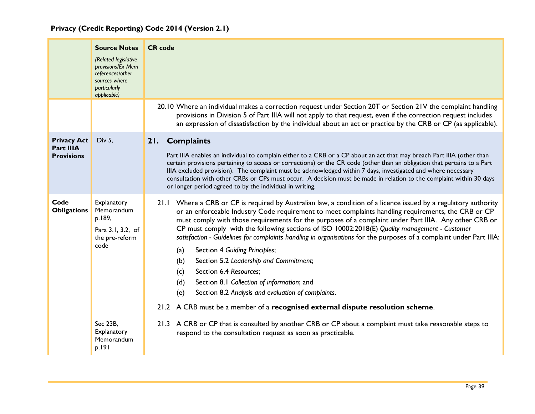<span id="page-39-0"></span>

|                                                      | <b>Source Notes</b><br>(Related legislative<br>provisions/Ex Mem<br>references/other<br>sources where<br>particularly<br>applicable) | <b>CR</b> code                                                                                                                                                                                                                                                                                                                                                                                                                                                                                                                                                                                                                                                                                                                                                                                                                                                                                                                                                                                    |
|------------------------------------------------------|--------------------------------------------------------------------------------------------------------------------------------------|---------------------------------------------------------------------------------------------------------------------------------------------------------------------------------------------------------------------------------------------------------------------------------------------------------------------------------------------------------------------------------------------------------------------------------------------------------------------------------------------------------------------------------------------------------------------------------------------------------------------------------------------------------------------------------------------------------------------------------------------------------------------------------------------------------------------------------------------------------------------------------------------------------------------------------------------------------------------------------------------------|
|                                                      |                                                                                                                                      | 20.10 Where an individual makes a correction request under Section 20T or Section 21V the complaint handling<br>provisions in Division 5 of Part IIIA will not apply to that request, even if the correction request includes<br>an expression of dissatisfaction by the individual about an act or practice by the CRB or CP (as applicable).                                                                                                                                                                                                                                                                                                                                                                                                                                                                                                                                                                                                                                                    |
| <b>Privacy Act</b><br>Part IIIA<br><b>Provisions</b> | Div 5,                                                                                                                               | 21. Complaints<br>Part IIIA enables an individual to complain either to a CRB or a CP about an act that may breach Part IIIA (other than<br>certain provisions pertaining to access or corrections) or the CR code (other than an obligation that pertains to a Part<br>IIIA excluded provision). The complaint must be acknowledged within 7 days, investigated and where necessary<br>consultation with other CRBs or CPs must occur. A decision must be made in relation to the complaint within 30 days<br>or longer period agreed to by the individual in writing.                                                                                                                                                                                                                                                                                                                                                                                                                           |
| Code<br><b>Obligations</b>                           | Explanatory<br>Memorandum<br>p.189,<br>Para 3.1, 3.2, of<br>the pre-reform<br>code<br>Sec 23B,                                       | 21.1 Where a CRB or CP is required by Australian law, a condition of a licence issued by a regulatory authority<br>or an enforceable Industry Code requirement to meet complaints handling requirements, the CRB or CP<br>must comply with those requirements for the purposes of a complaint under Part IIIA. Any other CRB or<br>CP must comply with the following sections of ISO 10002:2018(E) Quality management - Customer<br>satisfaction - Guidelines for complaints handling in organisations for the purposes of a complaint under Part IIIA:<br>Section 4 Guiding Principles;<br>(a)<br>Section 5.2 Leadership and Commitment;<br>(b)<br>Section 6.4 Resources;<br>(c)<br>Section 8.1 Collection of information; and<br>(d)<br>(e)<br>Section 8.2 Analysis and evaluation of complaints.<br>21.2 A CRB must be a member of a recognised external dispute resolution scheme.<br>21.3 A CRB or CP that is consulted by another CRB or CP about a complaint must take reasonable steps to |
|                                                      | Explanatory<br>Memorandum<br>p.191                                                                                                   | respond to the consultation request as soon as practicable.                                                                                                                                                                                                                                                                                                                                                                                                                                                                                                                                                                                                                                                                                                                                                                                                                                                                                                                                       |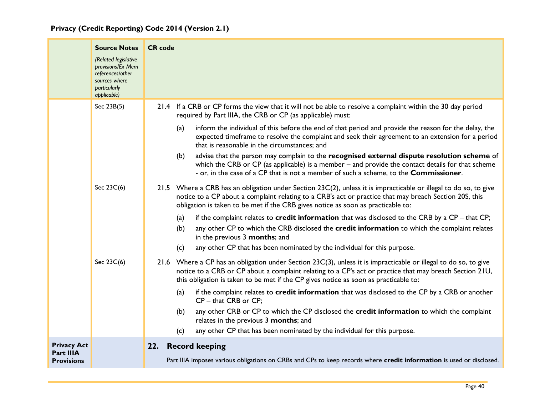<span id="page-40-0"></span>

|                                | <b>Source Notes</b><br>(Related legislative<br>provisions/Ex Mem<br>references/other<br>sources where<br>particularly<br>applicable) | <b>CR</b> code                                                                                                                                                                                                                                                                                                        |
|--------------------------------|--------------------------------------------------------------------------------------------------------------------------------------|-----------------------------------------------------------------------------------------------------------------------------------------------------------------------------------------------------------------------------------------------------------------------------------------------------------------------|
|                                | Sec 23B(5)                                                                                                                           | 21.4 If a CRB or CP forms the view that it will not be able to resolve a complaint within the 30 day period<br>required by Part IIIA, the CRB or CP (as applicable) must:                                                                                                                                             |
|                                |                                                                                                                                      | inform the individual of this before the end of that period and provide the reason for the delay, the<br>(a)<br>expected timeframe to resolve the complaint and seek their agreement to an extension for a period<br>that is reasonable in the circumstances; and                                                     |
|                                |                                                                                                                                      | advise that the person may complain to the recognised external dispute resolution scheme of<br>(b)<br>which the CRB or CP (as applicable) is a member $-$ and provide the contact details for that scheme<br>- or, in the case of a CP that is not a member of such a scheme, to the Commissioner.                    |
|                                | Sec 23C(6)                                                                                                                           | 21.5 Where a CRB has an obligation under Section 23C(2), unless it is impracticable or illegal to do so, to give<br>notice to a CP about a complaint relating to a CRB's act or practice that may breach Section 20S, this<br>obligation is taken to be met if the CRB gives notice as soon as practicable to:        |
|                                |                                                                                                                                      | if the complaint relates to credit information that was disclosed to the CRB by a $CP -$ that CP;<br>(a)<br>any other CP to which the CRB disclosed the credit information to which the complaint relates<br>(b)<br>in the previous 3 months; and                                                                     |
|                                |                                                                                                                                      | any other CP that has been nominated by the individual for this purpose.<br>(c)                                                                                                                                                                                                                                       |
|                                | Sec 23C(6)                                                                                                                           | 21.6 Where a CP has an obligation under Section $23C(3)$ , unless it is impracticable or illegal to do so, to give<br>notice to a CRB or CP about a complaint relating to a CP's act or practice that may breach Section 21U,<br>this obligation is taken to be met if the CP gives notice as soon as practicable to: |
|                                |                                                                                                                                      | if the complaint relates to credit information that was disclosed to the CP by a CRB or another<br>(a)<br>$CP - that CRB$ or $CP$ ;                                                                                                                                                                                   |
|                                |                                                                                                                                      | any other CRB or CP to which the CP disclosed the credit information to which the complaint<br>(b)<br>relates in the previous 3 months; and                                                                                                                                                                           |
|                                |                                                                                                                                      | any other CP that has been nominated by the individual for this purpose.<br>(c)                                                                                                                                                                                                                                       |
| <b>Privacy Act</b>             |                                                                                                                                      | 22. Record keeping                                                                                                                                                                                                                                                                                                    |
| Part IIIA<br><b>Provisions</b> |                                                                                                                                      | Part IIIA imposes various obligations on CRBs and CPs to keep records where credit information is used or disclosed.                                                                                                                                                                                                  |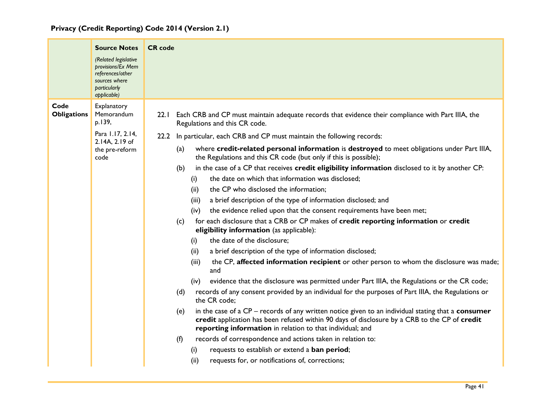|                            | <b>Source Notes</b><br>(Related legislative<br>provisions/Ex Mem<br>references/other<br>sources where<br>particularly<br>applicable) | <b>CR</b> code                                                                                                                                                                                                                                                                                                                                                                                                                                                                                                                                                                                                                                                                                                                                                                                                                                                                                                                                                                                                                                                                                                                                                                                                                                                                                                                                                                                                                                                                                                                                                                                                                                                                                                                                                                                                                                             |
|----------------------------|--------------------------------------------------------------------------------------------------------------------------------------|------------------------------------------------------------------------------------------------------------------------------------------------------------------------------------------------------------------------------------------------------------------------------------------------------------------------------------------------------------------------------------------------------------------------------------------------------------------------------------------------------------------------------------------------------------------------------------------------------------------------------------------------------------------------------------------------------------------------------------------------------------------------------------------------------------------------------------------------------------------------------------------------------------------------------------------------------------------------------------------------------------------------------------------------------------------------------------------------------------------------------------------------------------------------------------------------------------------------------------------------------------------------------------------------------------------------------------------------------------------------------------------------------------------------------------------------------------------------------------------------------------------------------------------------------------------------------------------------------------------------------------------------------------------------------------------------------------------------------------------------------------------------------------------------------------------------------------------------------------|
| Code<br><b>Obligations</b> | Explanatory<br>Memorandum<br>p.139,<br>Para 1.17, 2.14,<br>2.14A, 2.19 of<br>the pre-reform<br>code                                  | 22.1 Each CRB and CP must maintain adequate records that evidence their compliance with Part IIIA, the<br>Regulations and this CR code.<br>22.2 In particular, each CRB and CP must maintain the following records:<br>where credit-related personal information is destroyed to meet obligations under Part IIIA,<br>(a)<br>the Regulations and this CR code (but only if this is possible);<br>in the case of a CP that receives credit eligibility information disclosed to it by another CP:<br>(b)<br>the date on which that information was disclosed;<br>(i)<br>the CP who disclosed the information;<br>(ii)<br>(iii)<br>a brief description of the type of information disclosed; and<br>the evidence relied upon that the consent requirements have been met;<br>(iv)<br>for each disclosure that a CRB or CP makes of credit reporting information or credit<br>(c)<br>eligibility information (as applicable):<br>the date of the disclosure;<br>(i)<br>a brief description of the type of information disclosed;<br>(ii)<br>the CP, affected information recipient or other person to whom the disclosure was made;<br>(iii)<br>and<br>evidence that the disclosure was permitted under Part IIIA, the Regulations or the CR code;<br>(iv)<br>records of any consent provided by an individual for the purposes of Part IIIA, the Regulations or<br>(d)<br>the CR code;<br>in the case of a $CP$ – records of any written notice given to an individual stating that a consumer<br>(e)<br>credit application has been refused within 90 days of disclosure by a CRB to the CP of credit<br>reporting information in relation to that individual; and<br>records of correspondence and actions taken in relation to:<br>(f)<br>requests to establish or extend a ban period;<br>(i)<br>requests for, or notifications of, corrections;<br>(ii) |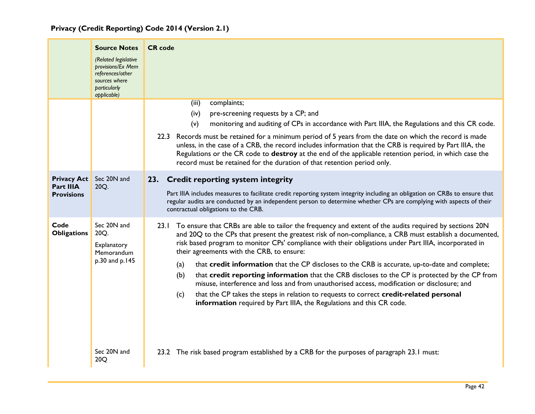<span id="page-42-0"></span>

|                                                             | <b>Source Notes</b><br>(Related legislative<br>provisions/Ex Mem<br>references/other<br>sources where<br>particularly<br>applicable) | <b>CR</b> code                                                                                                                                                                                                                                                                                                                                                                                                                                                                                                                                                                                                                                                                                                                                                                                                                                                                                                                                                      |
|-------------------------------------------------------------|--------------------------------------------------------------------------------------------------------------------------------------|---------------------------------------------------------------------------------------------------------------------------------------------------------------------------------------------------------------------------------------------------------------------------------------------------------------------------------------------------------------------------------------------------------------------------------------------------------------------------------------------------------------------------------------------------------------------------------------------------------------------------------------------------------------------------------------------------------------------------------------------------------------------------------------------------------------------------------------------------------------------------------------------------------------------------------------------------------------------|
|                                                             |                                                                                                                                      | complaints;<br>(iii)<br>pre-screening requests by a CP; and<br>(iv)<br>(v)<br>monitoring and auditing of CPs in accordance with Part IIIA, the Regulations and this CR code.<br>22.3 Records must be retained for a minimum period of 5 years from the date on which the record is made<br>unless, in the case of a CRB, the record includes information that the CRB is required by Part IIIA, the<br>Regulations or the CR code to destroy at the end of the applicable retention period, in which case the<br>record must be retained for the duration of that retention period only.                                                                                                                                                                                                                                                                                                                                                                            |
| <b>Privacy Act</b><br><b>Part IIIA</b><br><b>Provisions</b> | Sec 20N and<br>20Q.                                                                                                                  | 23. Credit reporting system integrity<br>Part IIIA includes measures to facilitate credit reporting system integrity including an obligation on CRBs to ensure that<br>regular audits are conducted by an independent person to determine whether CPs are complying with aspects of their<br>contractual obligations to the CRB.                                                                                                                                                                                                                                                                                                                                                                                                                                                                                                                                                                                                                                    |
| Code<br><b>Obligations</b>                                  | Sec 20N and<br>20Q.<br>Explanatory<br>Memorandum<br>p.30 and p.145<br>Sec 20N and<br>20Q                                             | 23.1 To ensure that CRBs are able to tailor the frequency and extent of the audits required by sections 20N<br>and 20Q to the CPs that present the greatest risk of non-compliance, a CRB must establish a documented,<br>risk based program to monitor CPs' compliance with their obligations under Part IIIA, incorporated in<br>their agreements with the CRB, to ensure:<br>that credit information that the CP discloses to the CRB is accurate, up-to-date and complete;<br>(a)<br>that credit reporting information that the CRB discloses to the CP is protected by the CP from<br>(b)<br>misuse, interference and loss and from unauthorised access, modification or disclosure; and<br>that the CP takes the steps in relation to requests to correct credit-related personal<br>(c)<br>information required by Part IIIA, the Regulations and this CR code.<br>23.2 The risk based program established by a CRB for the purposes of paragraph 23.1 must: |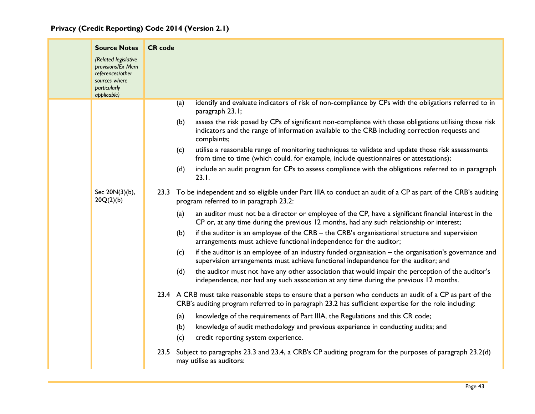| <b>Source Notes</b><br>(Related legislative                                           | <b>CR</b> code                                                                                                                                                                                                                 |
|---------------------------------------------------------------------------------------|--------------------------------------------------------------------------------------------------------------------------------------------------------------------------------------------------------------------------------|
| provisions/Ex Mem<br>references/other<br>sources where<br>particularly<br>applicable) |                                                                                                                                                                                                                                |
|                                                                                       | identify and evaluate indicators of risk of non-compliance by CPs with the obligations referred to in<br>(a)<br>paragraph 23.1;                                                                                                |
|                                                                                       | assess the risk posed by CPs of significant non-compliance with those obligations utilising those risk<br>(b)<br>indicators and the range of information available to the CRB including correction requests and<br>complaints; |
|                                                                                       | utilise a reasonable range of monitoring techniques to validate and update those risk assessments<br>(c)<br>from time to time (which could, for example, include questionnaires or attestations);                              |
|                                                                                       | include an audit program for CPs to assess compliance with the obligations referred to in paragraph<br>(d)<br>23.1.                                                                                                            |
| Sec 20N(3)(b),<br>20Q(2)(b)                                                           | 23.3 To be independent and so eligible under Part IIIA to conduct an audit of a CP as part of the CRB's auditing<br>program referred to in paragraph 23.2:                                                                     |
|                                                                                       | an auditor must not be a director or employee of the CP, have a significant financial interest in the<br>(a)<br>CP or, at any time during the previous 12 months, had any such relationship or interest;                       |
|                                                                                       | if the auditor is an employee of the CRB – the CRB's organisational structure and supervision<br>(b)<br>arrangements must achieve functional independence for the auditor;                                                     |
|                                                                                       | if the auditor is an employee of an industry funded organisation - the organisation's governance and<br>(c)<br>supervision arrangements must achieve functional independence for the auditor; and                              |
|                                                                                       | the auditor must not have any other association that would impair the perception of the auditor's<br>(d)<br>independence, nor had any such association at any time during the previous 12 months.                              |
|                                                                                       | 23.4 A CRB must take reasonable steps to ensure that a person who conducts an audit of a CP as part of the<br>CRB's auditing program referred to in paragraph 23.2 has sufficient expertise for the role including:            |
|                                                                                       | knowledge of the requirements of Part IIIA, the Regulations and this CR code;<br>(a)<br>(b)<br>knowledge of audit methodology and previous experience in conducting audits; and                                                |
|                                                                                       | (c)<br>credit reporting system experience.                                                                                                                                                                                     |
|                                                                                       | 23.5 Subject to paragraphs 23.3 and 23.4, a CRB's CP auditing program for the purposes of paragraph 23.2(d)<br>may utilise as auditors:                                                                                        |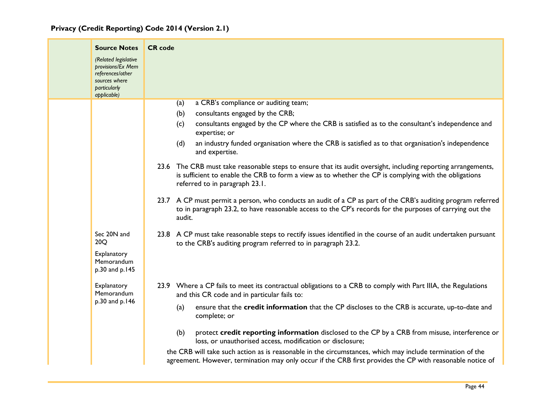|  | <b>Source Notes</b><br>(Related legislative<br>provisions/Ex Mem<br>references/other<br>sources where<br>particularly | <b>CR</b> code                                                                                                                                                                                                                                           |
|--|-----------------------------------------------------------------------------------------------------------------------|----------------------------------------------------------------------------------------------------------------------------------------------------------------------------------------------------------------------------------------------------------|
|  | applicable)                                                                                                           |                                                                                                                                                                                                                                                          |
|  |                                                                                                                       | a CRB's compliance or auditing team;<br>(a)<br>consultants engaged by the CRB;<br>(b)<br>consultants engaged by the CP where the CRB is satisfied as to the consultant's independence and<br>(c)<br>expertise; or                                        |
|  |                                                                                                                       | an industry funded organisation where the CRB is satisfied as to that organisation's independence<br>(d)<br>and expertise.                                                                                                                               |
|  |                                                                                                                       | 23.6 The CRB must take reasonable steps to ensure that its audit oversight, including reporting arrangements,<br>is sufficient to enable the CRB to form a view as to whether the CP is complying with the obligations<br>referred to in paragraph 23.1. |
|  |                                                                                                                       | 23.7 A CP must permit a person, who conducts an audit of a CP as part of the CRB's auditing program referred<br>to in paragraph 23.2, to have reasonable access to the CP's records for the purposes of carrying out the<br>audit.                       |
|  | Sec 20N and<br>20Q                                                                                                    | 23.8 A CP must take reasonable steps to rectify issues identified in the course of an audit undertaken pursuant<br>to the CRB's auditing program referred to in paragraph 23.2.                                                                          |
|  | Explanatory<br>Memorandum<br>p.30 and p.145                                                                           |                                                                                                                                                                                                                                                          |
|  | Explanatory<br>Memorandum<br>p.30 and p.146                                                                           | 23.9 Where a CP fails to meet its contractual obligations to a CRB to comply with Part IIIA, the Regulations<br>and this CR code and in particular fails to:                                                                                             |
|  |                                                                                                                       | ensure that the credit information that the CP discloses to the CRB is accurate, up-to-date and<br>(a)<br>complete; or                                                                                                                                   |
|  |                                                                                                                       | protect credit reporting information disclosed to the CP by a CRB from misuse, interference or<br>(b)<br>loss, or unauthorised access, modification or disclosure;                                                                                       |
|  |                                                                                                                       | the CRB will take such action as is reasonable in the circumstances, which may include termination of the<br>agreement. However, termination may only occur if the CRB first provides the CP with reasonable notice of                                   |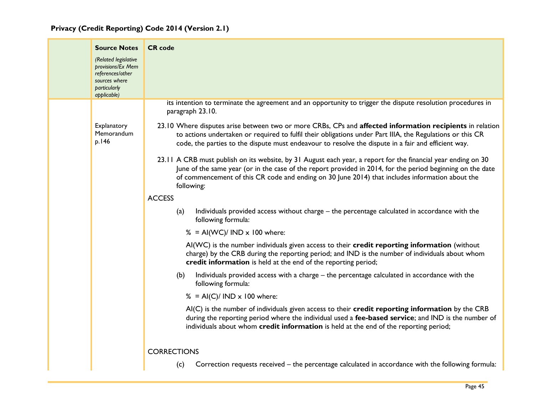| <b>Source Notes</b>                                                                                           | <b>CR</b> code                                                                                                                                                                                                                                                                                                                               |
|---------------------------------------------------------------------------------------------------------------|----------------------------------------------------------------------------------------------------------------------------------------------------------------------------------------------------------------------------------------------------------------------------------------------------------------------------------------------|
| (Related legislative<br>provisions/Ex Mem<br>references/other<br>sources where<br>particularly<br>applicable) |                                                                                                                                                                                                                                                                                                                                              |
|                                                                                                               | its intention to terminate the agreement and an opportunity to trigger the dispute resolution procedures in<br>paragraph 23.10.                                                                                                                                                                                                              |
| Explanatory<br>Memorandum<br>p.146                                                                            | 23.10 Where disputes arise between two or more CRBs, CPs and affected information recipients in relation<br>to actions undertaken or required to fulfil their obligations under Part IIIA, the Regulations or this CR<br>code, the parties to the dispute must endeavour to resolve the dispute in a fair and efficient way.                 |
|                                                                                                               | 23.11 A CRB must publish on its website, by 31 August each year, a report for the financial year ending on 30<br>June of the same year (or in the case of the report provided in 2014, for the period beginning on the date<br>of commencement of this CR code and ending on 30 June 2014) that includes information about the<br>following: |
|                                                                                                               | <b>ACCESS</b>                                                                                                                                                                                                                                                                                                                                |
|                                                                                                               | Individuals provided access without charge - the percentage calculated in accordance with the<br>(a)<br>following formula:                                                                                                                                                                                                                   |
|                                                                                                               | % = AI(WC)/ IND $\times$ 100 where:                                                                                                                                                                                                                                                                                                          |
|                                                                                                               | Al(WC) is the number individuals given access to their credit reporting information (without<br>charge) by the CRB during the reporting period; and IND is the number of individuals about whom<br>credit information is held at the end of the reporting period;                                                                            |
|                                                                                                               | Individuals provided access with a charge - the percentage calculated in accordance with the<br>(b)<br>following formula:                                                                                                                                                                                                                    |
|                                                                                                               | % = AI(C)/ IND $\times$ 100 where:                                                                                                                                                                                                                                                                                                           |
|                                                                                                               | AI(C) is the number of individuals given access to their credit reporting information by the CRB<br>during the reporting period where the individual used a fee-based service; and IND is the number of<br>individuals about whom credit information is held at the end of the reporting period;                                             |
|                                                                                                               | <b>CORRECTIONS</b>                                                                                                                                                                                                                                                                                                                           |
|                                                                                                               | Correction requests received – the percentage calculated in accordance with the following formula:<br>(c)                                                                                                                                                                                                                                    |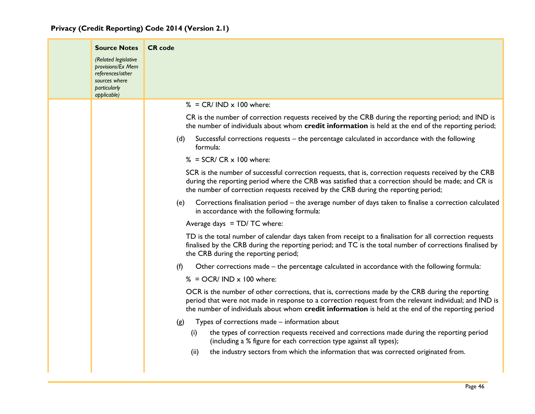| <b>Source Notes</b>                                                                                           | <b>CR</b> code                                                                                                                                                                                                                                                                                                    |
|---------------------------------------------------------------------------------------------------------------|-------------------------------------------------------------------------------------------------------------------------------------------------------------------------------------------------------------------------------------------------------------------------------------------------------------------|
| (Related legislative<br>provisions/Ex Mem<br>references/other<br>sources where<br>particularly<br>applicable) |                                                                                                                                                                                                                                                                                                                   |
|                                                                                                               | $% = CR/IND \times 100$ where:                                                                                                                                                                                                                                                                                    |
|                                                                                                               | CR is the number of correction requests received by the CRB during the reporting period; and IND is<br>the number of individuals about whom credit information is held at the end of the reporting period;                                                                                                        |
|                                                                                                               | Successful corrections requests - the percentage calculated in accordance with the following<br>(d)<br>formula:                                                                                                                                                                                                   |
|                                                                                                               | $\%$ = SCR/ CR x 100 where:                                                                                                                                                                                                                                                                                       |
|                                                                                                               | SCR is the number of successful correction requests, that is, correction requests received by the CRB<br>during the reporting period where the CRB was satisfied that a correction should be made; and CR is<br>the number of correction requests received by the CRB during the reporting period;                |
|                                                                                                               | Corrections finalisation period – the average number of days taken to finalise a correction calculated<br>(e)<br>in accordance with the following formula:                                                                                                                                                        |
|                                                                                                               | Average days $= TD/ TC$ where:                                                                                                                                                                                                                                                                                    |
|                                                                                                               | TD is the total number of calendar days taken from receipt to a finalisation for all correction requests<br>finalised by the CRB during the reporting period; and TC is the total number of corrections finalised by<br>the CRB during the reporting period;                                                      |
|                                                                                                               | Other corrections made – the percentage calculated in accordance with the following formula:<br>(f)                                                                                                                                                                                                               |
|                                                                                                               | $% = OCR/ IND \times 100$ where:                                                                                                                                                                                                                                                                                  |
|                                                                                                               | OCR is the number of other corrections, that is, corrections made by the CRB during the reporting<br>period that were not made in response to a correction request from the relevant individual; and IND is<br>the number of individuals about whom credit information is held at the end of the reporting period |
|                                                                                                               | Types of corrections made – information about<br>(g)                                                                                                                                                                                                                                                              |
|                                                                                                               | the types of correction requests received and corrections made during the reporting period<br>(i)<br>(including a % figure for each correction type against all types);                                                                                                                                           |
|                                                                                                               | the industry sectors from which the information that was corrected originated from.<br>(ii)                                                                                                                                                                                                                       |
|                                                                                                               |                                                                                                                                                                                                                                                                                                                   |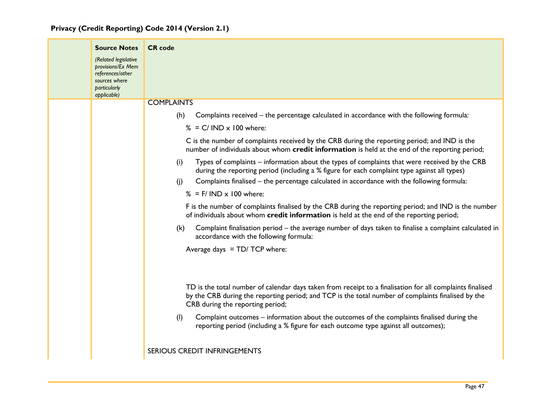| <b>Source Notes</b>                                                            | <b>CR</b> code                                                                                                                                                                                                                                      |
|--------------------------------------------------------------------------------|-----------------------------------------------------------------------------------------------------------------------------------------------------------------------------------------------------------------------------------------------------|
| (Related legislative<br>provisions/Ex Mem<br>references/other<br>sources where |                                                                                                                                                                                                                                                     |
| particularly<br>applicable)                                                    |                                                                                                                                                                                                                                                     |
|                                                                                | <b>COMPLAINTS</b>                                                                                                                                                                                                                                   |
|                                                                                | (h)<br>Complaints received – the percentage calculated in accordance with the following formula:                                                                                                                                                    |
|                                                                                | $\% = C/ \text{IND} \times 100 \text{ where:}$                                                                                                                                                                                                      |
|                                                                                | C is the number of complaints received by the CRB during the reporting period; and IND is the<br>number of individuals about whom credit information is held at the end of the reporting period;                                                    |
|                                                                                | Types of complaints – information about the types of complaints that were received by the CRB<br>(i)<br>during the reporting period (including a % figure for each complaint type against all types)                                                |
|                                                                                | Complaints finalised – the percentage calculated in accordance with the following formula:<br>(i)                                                                                                                                                   |
|                                                                                | $%$ = F/ IND $\times$ 100 where:                                                                                                                                                                                                                    |
|                                                                                | F is the number of complaints finalised by the CRB during the reporting period; and IND is the number<br>of individuals about whom credit information is held at the end of the reporting period;                                                   |
|                                                                                | Complaint finalisation period – the average number of days taken to finalise a complaint calculated in<br>(k)<br>accordance with the following formula:                                                                                             |
|                                                                                | Average days $= TD / TCP$ where:                                                                                                                                                                                                                    |
|                                                                                |                                                                                                                                                                                                                                                     |
|                                                                                | TD is the total number of calendar days taken from receipt to a finalisation for all complaints finalised<br>by the CRB during the reporting period; and TCP is the total number of complaints finalised by the<br>CRB during the reporting period; |
|                                                                                | Complaint outcomes – information about the outcomes of the complaints finalised during the<br>(1)<br>reporting period (including a % figure for each outcome type against all outcomes);                                                            |
|                                                                                | <b>SERIOUS CREDIT INFRINGEMENTS</b>                                                                                                                                                                                                                 |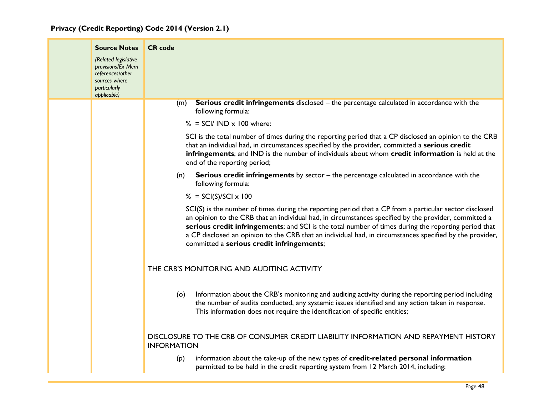| <b>Source Notes</b>                                                                                           | <b>CR</b> code                                                                                                                                                                                                                                                                                                                                                                                                                                                                  |
|---------------------------------------------------------------------------------------------------------------|---------------------------------------------------------------------------------------------------------------------------------------------------------------------------------------------------------------------------------------------------------------------------------------------------------------------------------------------------------------------------------------------------------------------------------------------------------------------------------|
| (Related legislative<br>provisions/Ex Mem<br>references/other<br>sources where<br>particularly<br>applicable) |                                                                                                                                                                                                                                                                                                                                                                                                                                                                                 |
|                                                                                                               | <b>Serious credit infringements</b> disclosed – the percentage calculated in accordance with the<br>(m)<br>following formula:                                                                                                                                                                                                                                                                                                                                                   |
|                                                                                                               | $% = SCI/ IND \times 100$ where:                                                                                                                                                                                                                                                                                                                                                                                                                                                |
|                                                                                                               | SCI is the total number of times during the reporting period that a CP disclosed an opinion to the CRB<br>that an individual had, in circumstances specified by the provider, committed a serious credit<br>infringements; and IND is the number of individuals about whom credit information is held at the<br>end of the reporting period;                                                                                                                                    |
|                                                                                                               | <b>Serious credit infringements</b> by sector – the percentage calculated in accordance with the<br>(n)<br>following formula:                                                                                                                                                                                                                                                                                                                                                   |
|                                                                                                               | $\% = SCI(S)/SCI \times 100$                                                                                                                                                                                                                                                                                                                                                                                                                                                    |
|                                                                                                               | SCI(S) is the number of times during the reporting period that a CP from a particular sector disclosed<br>an opinion to the CRB that an individual had, in circumstances specified by the provider, committed a<br>serious credit infringements; and SCI is the total number of times during the reporting period that<br>a CP disclosed an opinion to the CRB that an individual had, in circumstances specified by the provider,<br>committed a serious credit infringements; |
|                                                                                                               | THE CRB'S MONITORING AND AUDITING ACTIVITY                                                                                                                                                                                                                                                                                                                                                                                                                                      |
|                                                                                                               | Information about the CRB's monitoring and auditing activity during the reporting period including<br>(o)<br>the number of audits conducted, any systemic issues identified and any action taken in response.<br>This information does not require the identification of specific entities;                                                                                                                                                                                     |
|                                                                                                               | DISCLOSURE TO THE CRB OF CONSUMER CREDIT LIABILITY INFORMATION AND REPAYMENT HISTORY<br><b>INFORMATION</b>                                                                                                                                                                                                                                                                                                                                                                      |
|                                                                                                               | information about the take-up of the new types of credit-related personal information<br>(p)<br>permitted to be held in the credit reporting system from 12 March 2014, including:                                                                                                                                                                                                                                                                                              |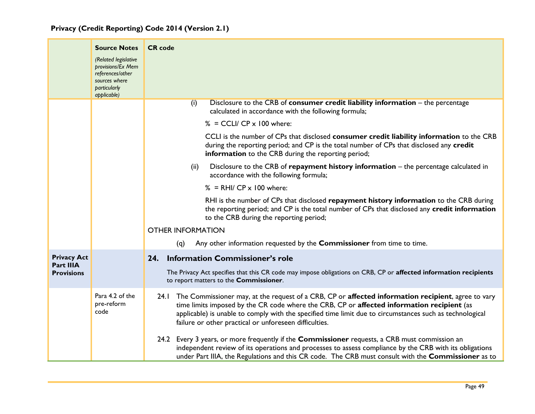|  |  | Privacy (Credit Reporting) Code 2014 (Version 2.1) |  |  |  |  |  |
|--|--|----------------------------------------------------|--|--|--|--|--|
|--|--|----------------------------------------------------|--|--|--|--|--|

<span id="page-49-0"></span>

|                                | <b>Source Notes</b><br>(Related legislative<br>provisions/Ex Mem<br>references/other<br>sources where<br>particularly<br>applicable) | <b>CR</b> code                                                                                                                                                                                                                                                                                                                                                                                                                                                               |
|--------------------------------|--------------------------------------------------------------------------------------------------------------------------------------|------------------------------------------------------------------------------------------------------------------------------------------------------------------------------------------------------------------------------------------------------------------------------------------------------------------------------------------------------------------------------------------------------------------------------------------------------------------------------|
|                                |                                                                                                                                      | Disclosure to the CRB of consumer credit liability information - the percentage<br>(i)<br>calculated in accordance with the following formula;                                                                                                                                                                                                                                                                                                                               |
|                                |                                                                                                                                      | $% = CCLI/CP \times 100$ where:                                                                                                                                                                                                                                                                                                                                                                                                                                              |
|                                |                                                                                                                                      | CCLI is the number of CPs that disclosed consumer credit liability information to the CRB<br>during the reporting period; and CP is the total number of CPs that disclosed any credit<br>information to the CRB during the reporting period;                                                                                                                                                                                                                                 |
|                                |                                                                                                                                      | Disclosure to the CRB of repayment history information – the percentage calculated in<br>(ii)<br>accordance with the following formula;                                                                                                                                                                                                                                                                                                                                      |
|                                |                                                                                                                                      | $% = RHI/CP \times 100$ where:                                                                                                                                                                                                                                                                                                                                                                                                                                               |
|                                |                                                                                                                                      | RHI is the number of CPs that disclosed repayment history information to the CRB during<br>the reporting period; and CP is the total number of CPs that disclosed any credit information<br>to the CRB during the reporting period;                                                                                                                                                                                                                                          |
|                                |                                                                                                                                      | <b>OTHER INFORMATION</b>                                                                                                                                                                                                                                                                                                                                                                                                                                                     |
|                                |                                                                                                                                      | Any other information requested by the <b>Commissioner</b> from time to time.<br>(q)                                                                                                                                                                                                                                                                                                                                                                                         |
| <b>Privacy Act</b>             |                                                                                                                                      | <b>Information Commissioner's role</b><br>24.                                                                                                                                                                                                                                                                                                                                                                                                                                |
| Part IIIA<br><b>Provisions</b> |                                                                                                                                      | The Privacy Act specifies that this CR code may impose obligations on CRB, CP or affected information recipients<br>to report matters to the Commissioner.                                                                                                                                                                                                                                                                                                                   |
|                                | Para 4.2 of the<br>pre-reform<br>code                                                                                                | 24.1 The Commissioner may, at the request of a CRB, CP or affected information recipient, agree to vary<br>time limits imposed by the CR code where the CRB, CP or affected information recipient (as<br>applicable) is unable to comply with the specified time limit due to circumstances such as technological<br>failure or other practical or unforeseen difficulties.<br>24.2 Every 3 years, or more frequently if the Commissioner requests, a CRB must commission an |
|                                |                                                                                                                                      | independent review of its operations and processes to assess compliance by the CRB with its obligations<br>under Part IIIA, the Regulations and this CR code. The CRB must consult with the Commissioner as to                                                                                                                                                                                                                                                               |